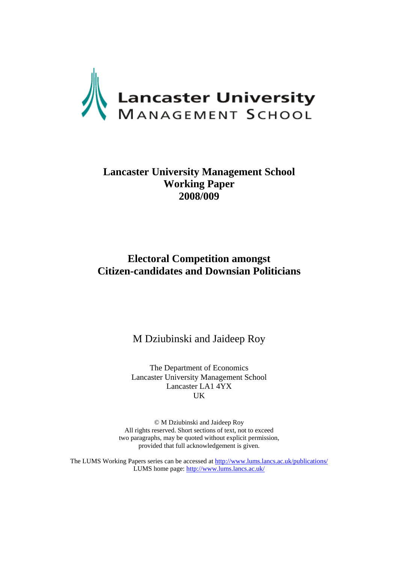

### **Lancaster University Management School Working Paper 2008/009**

### **Electoral Competition amongst Citizen-candidates and Downsian Politicians**

M Dziubinski and Jaideep Roy

The Department of Economics Lancaster University Management School Lancaster LA1 4YX UK

© M Dziubinski and Jaideep Roy All rights reserved. Short sections of text, not to exceed two paragraphs, may be quoted without explicit permission, provided that full acknowledgement is given.

The LUMS Working Papers series can be accessed at http://www.lums.lancs.ac.uk/publications/ LUMS home page: http://www.lums.lancs.ac.uk/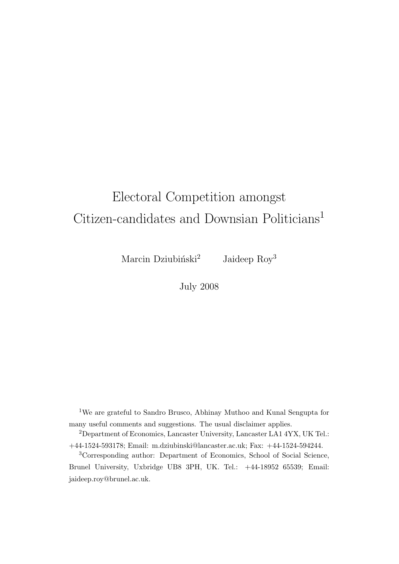# Electoral Competition amongst Citizen-candidates and Downsian Politicians<sup>1</sup>

Marcin Dziubiński<sup>2</sup> Jaideep Roy<sup>3</sup>

July 2008

<sup>1</sup>We are grateful to Sandro Brusco, Abhinay Muthoo and Kunal Sengupta for many useful comments and suggestions. The usual disclaimer applies.

<sup>2</sup>Department of Economics, Lancaster University, Lancaster LA1 4YX, UK Tel.: +44-1524-593178; Email: m.dziubinski@lancaster.ac.uk; Fax: +44-1524-594244.

<sup>3</sup>Corresponding author: Department of Economics, School of Social Science, Brunel University, Uxbridge UB8 3PH, UK. Tel.: +44-18952 65539; Email: jaideep.roy@brunel.ac.uk.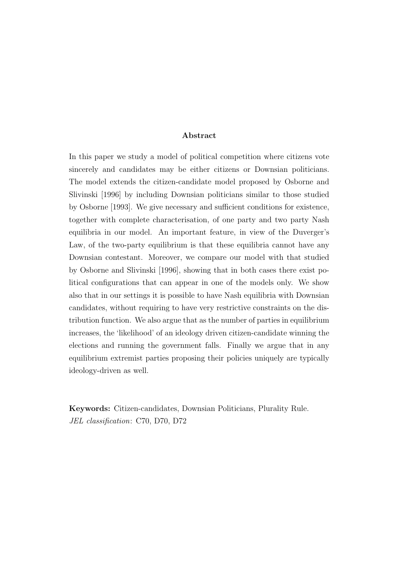#### Abstract

In this paper we study a model of political competition where citizens vote sincerely and candidates may be either citizens or Downsian politicians. The model extends the citizen-candidate model proposed by Osborne and Slivinski [1996] by including Downsian politicians similar to those studied by Osborne [1993]. We give necessary and sufficient conditions for existence, together with complete characterisation, of one party and two party Nash equilibria in our model. An important feature, in view of the Duverger's Law, of the two-party equilibrium is that these equilibria cannot have any Downsian contestant. Moreover, we compare our model with that studied by Osborne and Slivinski [1996], showing that in both cases there exist political configurations that can appear in one of the models only. We show also that in our settings it is possible to have Nash equilibria with Downsian candidates, without requiring to have very restrictive constraints on the distribution function. We also argue that as the number of parties in equilibrium increases, the 'likelihood' of an ideology driven citizen-candidate winning the elections and running the government falls. Finally we argue that in any equilibrium extremist parties proposing their policies uniquely are typically ideology-driven as well.

Keywords: Citizen-candidates, Downsian Politicians, Plurality Rule. JEL classification: C70, D70, D72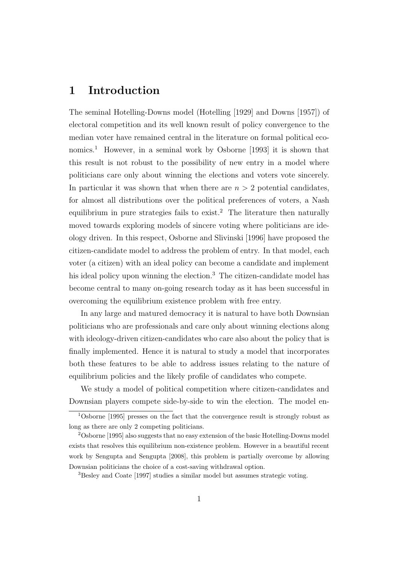### 1 Introduction

The seminal Hotelling-Downs model (Hotelling [1929] and Downs [1957]) of electoral competition and its well known result of policy convergence to the median voter have remained central in the literature on formal political economics.<sup>1</sup> However, in a seminal work by Osborne [1993] it is shown that this result is not robust to the possibility of new entry in a model where politicians care only about winning the elections and voters vote sincerely. In particular it was shown that when there are  $n > 2$  potential candidates, for almost all distributions over the political preferences of voters, a Nash equilibrium in pure strategies fails to exist.<sup>2</sup> The literature then naturally moved towards exploring models of sincere voting where politicians are ideology driven. In this respect, Osborne and Slivinski [1996] have proposed the citizen-candidate model to address the problem of entry. In that model, each voter (a citizen) with an ideal policy can become a candidate and implement his ideal policy upon winning the election.<sup>3</sup> The citizen-candidate model has become central to many on-going research today as it has been successful in overcoming the equilibrium existence problem with free entry.

In any large and matured democracy it is natural to have both Downsian politicians who are professionals and care only about winning elections along with ideology-driven citizen-candidates who care also about the policy that is finally implemented. Hence it is natural to study a model that incorporates both these features to be able to address issues relating to the nature of equilibrium policies and the likely profile of candidates who compete.

We study a model of political competition where citizen-candidates and Downsian players compete side-by-side to win the election. The model en-

<sup>3</sup>Besley and Coate [1997] studies a similar model but assumes strategic voting.

<sup>1</sup>Osborne [1995] presses on the fact that the convergence result is strongly robust as long as there are only 2 competing politicians.

<sup>2</sup>Osborne [1995] also suggests that no easy extension of the basic Hotelling-Downs model exists that resolves this equilibrium non-existence problem. However in a beautiful recent work by Sengupta and Sengupta [2008], this problem is partially overcome by allowing Downsian politicians the choice of a cost-saving withdrawal option.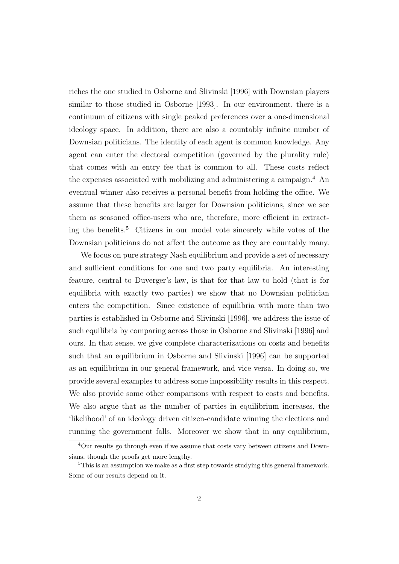riches the one studied in Osborne and Slivinski [1996] with Downsian players similar to those studied in Osborne [1993]. In our environment, there is a continuum of citizens with single peaked preferences over a one-dimensional ideology space. In addition, there are also a countably infinite number of Downsian politicians. The identity of each agent is common knowledge. Any agent can enter the electoral competition (governed by the plurality rule) that comes with an entry fee that is common to all. These costs reflect the expenses associated with mobilizing and administering a campaign.<sup>4</sup> An eventual winner also receives a personal benefit from holding the office. We assume that these benefits are larger for Downsian politicians, since we see them as seasoned office-users who are, therefore, more efficient in extracting the benefits.<sup>5</sup> Citizens in our model vote sincerely while votes of the Downsian politicians do not affect the outcome as they are countably many.

We focus on pure strategy Nash equilibrium and provide a set of necessary and sufficient conditions for one and two party equilibria. An interesting feature, central to Duverger's law, is that for that law to hold (that is for equilibria with exactly two parties) we show that no Downsian politician enters the competition. Since existence of equilibria with more than two parties is established in Osborne and Slivinski [1996], we address the issue of such equilibria by comparing across those in Osborne and Slivinski [1996] and ours. In that sense, we give complete characterizations on costs and benefits such that an equilibrium in Osborne and Slivinski [1996] can be supported as an equilibrium in our general framework, and vice versa. In doing so, we provide several examples to address some impossibility results in this respect. We also provide some other comparisons with respect to costs and benefits. We also argue that as the number of parties in equilibrium increases, the 'likelihood' of an ideology driven citizen-candidate winning the elections and running the government falls. Moreover we show that in any equilibrium,

<sup>4</sup>Our results go through even if we assume that costs vary between citizens and Downsians, though the proofs get more lengthy.

<sup>&</sup>lt;sup>5</sup>This is an assumption we make as a first step towards studying this general framework. Some of our results depend on it.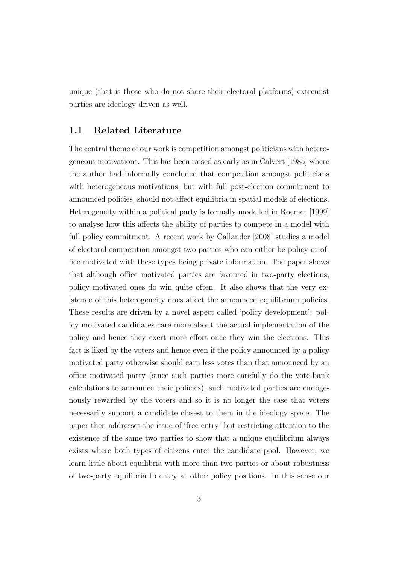unique (that is those who do not share their electoral platforms) extremist parties are ideology-driven as well.

#### 1.1 Related Literature

The central theme of our work is competition amongst politicians with heterogeneous motivations. This has been raised as early as in Calvert [1985] where the author had informally concluded that competition amongst politicians with heterogeneous motivations, but with full post-election commitment to announced policies, should not affect equilibria in spatial models of elections. Heterogeneity within a political party is formally modelled in Roemer [1999] to analyse how this affects the ability of parties to compete in a model with full policy commitment. A recent work by Callander [2008] studies a model of electoral competition amongst two parties who can either be policy or office motivated with these types being private information. The paper shows that although office motivated parties are favoured in two-party elections, policy motivated ones do win quite often. It also shows that the very existence of this heterogeneity does affect the announced equilibrium policies. These results are driven by a novel aspect called 'policy development': policy motivated candidates care more about the actual implementation of the policy and hence they exert more effort once they win the elections. This fact is liked by the voters and hence even if the policy announced by a policy motivated party otherwise should earn less votes than that announced by an office motivated party (since such parties more carefully do the vote-bank calculations to announce their policies), such motivated parties are endogenously rewarded by the voters and so it is no longer the case that voters necessarily support a candidate closest to them in the ideology space. The paper then addresses the issue of 'free-entry' but restricting attention to the existence of the same two parties to show that a unique equilibrium always exists where both types of citizens enter the candidate pool. However, we learn little about equilibria with more than two parties or about robustness of two-party equilibria to entry at other policy positions. In this sense our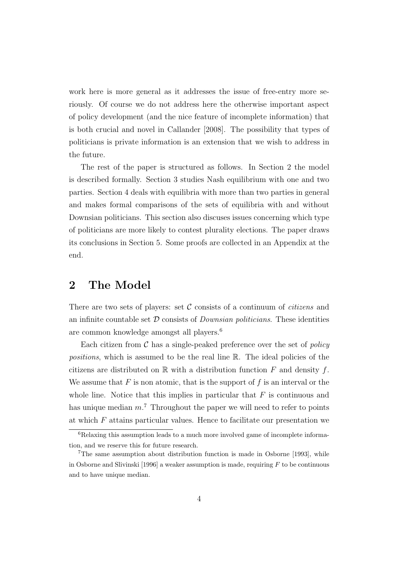work here is more general as it addresses the issue of free-entry more seriously. Of course we do not address here the otherwise important aspect of policy development (and the nice feature of incomplete information) that is both crucial and novel in Callander [2008]. The possibility that types of politicians is private information is an extension that we wish to address in the future.

The rest of the paper is structured as follows. In Section 2 the model is described formally. Section 3 studies Nash equilibrium with one and two parties. Section 4 deals with equilibria with more than two parties in general and makes formal comparisons of the sets of equilibria with and without Downsian politicians. This section also discuses issues concerning which type of politicians are more likely to contest plurality elections. The paper draws its conclusions in Section 5. Some proofs are collected in an Appendix at the end.

### 2 The Model

There are two sets of players: set  $\mathcal C$  consists of a continuum of *citizens* and an infinite countable set  $\mathcal D$  consists of *Downsian politicians*. These identities are common knowledge amongst all players.<sup>6</sup>

Each citizen from  $\mathcal C$  has a single-peaked preference over the set of *policy* positions, which is assumed to be the real line R. The ideal policies of the citizens are distributed on  $\mathbb R$  with a distribution function F and density f. We assume that  $F$  is non atomic, that is the support of  $f$  is an interval or the whole line. Notice that this implies in particular that  $F$  is continuous and has unique median  $m<sup>7</sup>$ . Throughout the paper we will need to refer to points at which  $F$  attains particular values. Hence to facilitate our presentation we

 ${}^{6}$ Relaxing this assumption leads to a much more involved game of incomplete information, and we reserve this for future research.

<sup>&</sup>lt;sup>7</sup>The same assumption about distribution function is made in Osborne [1993], while in Osborne and Slivinski [1996] a weaker assumption is made, requiring  $F$  to be continuous and to have unique median.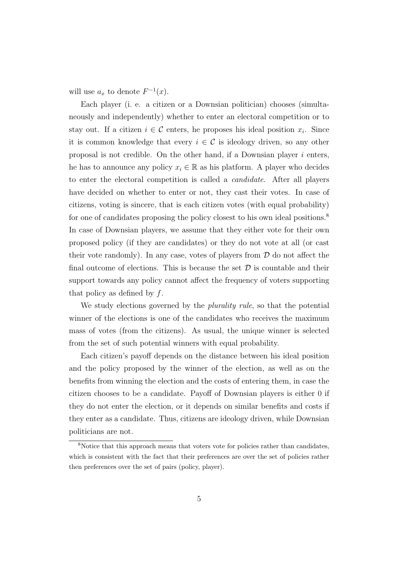will use  $a_x$  to denote  $F^{-1}(x)$ .

Each player (i. e. a citizen or a Downsian politician) chooses (simultaneously and independently) whether to enter an electoral competition or to stay out. If a citizen  $i \in \mathcal{C}$  enters, he proposes his ideal position  $x_i$ . Since it is common knowledge that every  $i \in \mathcal{C}$  is ideology driven, so any other proposal is not credible. On the other hand, if a Downsian player  $i$  enters, he has to announce any policy  $x_i \in \mathbb{R}$  as his platform. A player who decides to enter the electoral competition is called a candidate. After all players have decided on whether to enter or not, they cast their votes. In case of citizens, voting is sincere, that is each citizen votes (with equal probability) for one of candidates proposing the policy closest to his own ideal positions.<sup>8</sup> In case of Downsian players, we assume that they either vote for their own proposed policy (if they are candidates) or they do not vote at all (or cast their vote randomly). In any case, votes of players from  $\mathcal D$  do not affect the final outcome of elections. This is because the set  $\mathcal D$  is countable and their support towards any policy cannot affect the frequency of voters supporting that policy as defined by  $f$ .

We study elections governed by the *plurality rule*, so that the potential winner of the elections is one of the candidates who receives the maximum mass of votes (from the citizens). As usual, the unique winner is selected from the set of such potential winners with equal probability.

Each citizen's payoff depends on the distance between his ideal position and the policy proposed by the winner of the election, as well as on the benefits from winning the election and the costs of entering them, in case the citizen chooses to be a candidate. Payoff of Downsian players is either 0 if they do not enter the election, or it depends on similar benefits and costs if they enter as a candidate. Thus, citizens are ideology driven, while Downsian politicians are not.

<sup>8</sup>Notice that this approach means that voters vote for policies rather than candidates, which is consistent with the fact that their preferences are over the set of policies rather then preferences over the set of pairs (policy, player).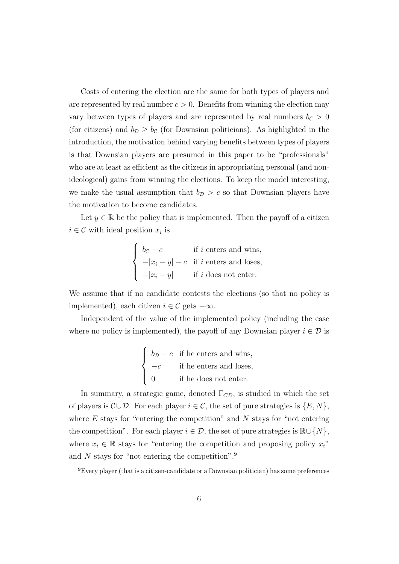Costs of entering the election are the same for both types of players and are represented by real number  $c > 0$ . Benefits from winning the election may vary between types of players and are represented by real numbers  $b_c > 0$ (for citizens) and  $b_{\mathcal{D}} \geq b_{\mathcal{C}}$  (for Downsian politicians). As highlighted in the introduction, the motivation behind varying benefits between types of players is that Downsian players are presumed in this paper to be "professionals" who are at least as efficient as the citizens in appropriating personal (and nonideological) gains from winning the elections. To keep the model interesting, we make the usual assumption that  $b_{\mathcal{D}} > c$  so that Downsian players have the motivation to become candidates.

Let  $y \in \mathbb{R}$  be the policy that is implemented. Then the payoff of a citizen  $i \in \mathcal{C}$  with ideal position  $x_i$  is

$$
\begin{cases}\n b_{\mathcal{C}} - c & \text{if } i \text{ enters and wins,} \\
 -|x_i - y| - c & \text{if } i \text{ enters and loses,} \\
 -|x_i - y| & \text{if } i \text{ does not enter.} \n\end{cases}
$$

We assume that if no candidate contests the elections (so that no policy is implemented), each citizen  $i \in \mathcal{C}$  gets  $-\infty$ .

Independent of the value of the implemented policy (including the case where no policy is implemented), the payoff of any Downsian player  $i \in \mathcal{D}$  is

$$
\begin{cases}\n b_D - c & \text{if he enters and wins,} \\
 -c & \text{if he enters and loses,} \\
 0 & \text{if he does not enter.} \n\end{cases}
$$

In summary, a strategic game, denoted  $\Gamma_{CD}$ , is studied in which the set of players is  $\mathcal{C} \cup \mathcal{D}$ . For each player  $i \in \mathcal{C}$ , the set of pure strategies is  $\{E, N\}$ , where  $E$  stays for "entering the competition" and  $N$  stays for "not entering the competition". For each player  $i \in \mathcal{D}$ , the set of pure strategies is  $\mathbb{R}\cup\{N\}$ , where  $x_i \in \mathbb{R}$  stays for "entering the competition and proposing policy  $x_i$ " and  $N$  stays for "not entering the competition".<sup>9</sup>

<sup>9</sup>Every player (that is a citizen-candidate or a Downsian politician) has some preferences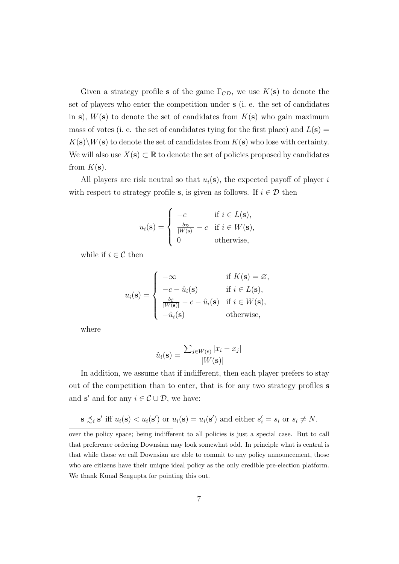Given a strategy profile s of the game  $\Gamma_{CD}$ , we use  $K(\mathbf{s})$  to denote the set of players who enter the competition under s (i. e. the set of candidates in s),  $W(s)$  to denote the set of candidates from  $K(s)$  who gain maximum mass of votes (i. e. the set of candidates tying for the first place) and  $L(s)$  =  $K(\mathbf{s})\backslash W(\mathbf{s})$  to denote the set of candidates from  $K(\mathbf{s})$  who lose with certainty. We will also use  $X(\mathbf{s}) \subset \mathbb{R}$  to denote the set of policies proposed by candidates from  $K(\mathbf{s})$ .

All players are risk neutral so that  $u_i(\mathbf{s})$ , the expected payoff of player i with respect to strategy profile s, is given as follows. If  $i \in \mathcal{D}$  then

$$
u_i(\mathbf{s}) = \begin{cases} -c & \text{if } i \in L(\mathbf{s}), \\ \frac{b_{\mathcal{D}}}{|W(\mathbf{s})|} - c & \text{if } i \in W(\mathbf{s}), \\ 0 & \text{otherwise}, \end{cases}
$$

while if  $i \in \mathcal{C}$  then

$$
u_i(\mathbf{s}) = \begin{cases}\n-\infty & \text{if } K(\mathbf{s}) = \varnothing, \\
-c - \hat{u}_i(\mathbf{s}) & \text{if } i \in L(\mathbf{s}), \\
\frac{b_c}{|W(\mathbf{s})|} - c - \hat{u}_i(\mathbf{s}) & \text{if } i \in W(\mathbf{s}), \\
-\hat{u}_i(\mathbf{s}) & \text{otherwise,} \n\end{cases}
$$

where

$$
\hat{u}_i(\mathbf{s}) = \frac{\sum_{j \in W(\mathbf{s})} |x_i - x_j|}{|W(\mathbf{s})|}
$$

In addition, we assume that if indifferent, then each player prefers to stay out of the competition than to enter, that is for any two strategy profiles s and s' and for any  $i \in \mathcal{C} \cup \mathcal{D}$ , we have:

$$
\mathbf{s} \preceq_i \mathbf{s}' \text{ iff } u_i(\mathbf{s}) < u_i(\mathbf{s}') \text{ or } u_i(\mathbf{s}) = u_i(\mathbf{s}') \text{ and either } s'_i = s_i \text{ or } s_i \neq N.
$$

over the policy space; being indifferent to all policies is just a special case. But to call that preference ordering Downsian may look somewhat odd. In principle what is central is that while those we call Downsian are able to commit to any policy announcement, those who are citizens have their unique ideal policy as the only credible pre-election platform. We thank Kunal Sengupta for pointing this out.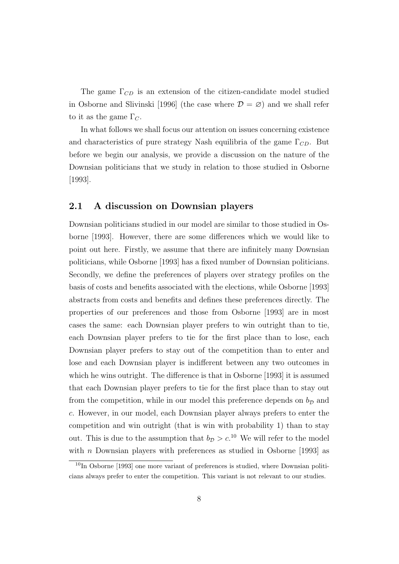The game  $\Gamma_{CD}$  is an extension of the citizen-candidate model studied in Osborne and Slivinski [1996] (the case where  $\mathcal{D} = \varnothing$ ) and we shall refer to it as the game  $\Gamma_C$ .

In what follows we shall focus our attention on issues concerning existence and characteristics of pure strategy Nash equilibria of the game  $\Gamma_{CD}$ . But before we begin our analysis, we provide a discussion on the nature of the Downsian politicians that we study in relation to those studied in Osborne [1993].

#### 2.1 A discussion on Downsian players

Downsian politicians studied in our model are similar to those studied in Osborne [1993]. However, there are some differences which we would like to point out here. Firstly, we assume that there are infinitely many Downsian politicians, while Osborne [1993] has a fixed number of Downsian politicians. Secondly, we define the preferences of players over strategy profiles on the basis of costs and benefits associated with the elections, while Osborne [1993] abstracts from costs and benefits and defines these preferences directly. The properties of our preferences and those from Osborne [1993] are in most cases the same: each Downsian player prefers to win outright than to tie, each Downsian player prefers to tie for the first place than to lose, each Downsian player prefers to stay out of the competition than to enter and lose and each Downsian player is indifferent between any two outcomes in which he wins outright. The difference is that in Osborne [1993] it is assumed that each Downsian player prefers to tie for the first place than to stay out from the competition, while in our model this preference depends on  $b<sub>D</sub>$  and c. However, in our model, each Downsian player always prefers to enter the competition and win outright (that is win with probability 1) than to stay out. This is due to the assumption that  $b_{\mathcal{D}} > c$ <sup>10</sup> We will refer to the model with  $n$  Downsian players with preferences as studied in Osborne [1993] as

 $10$ In Osborne [1993] one more variant of preferences is studied, where Downsian politicians always prefer to enter the competition. This variant is not relevant to our studies.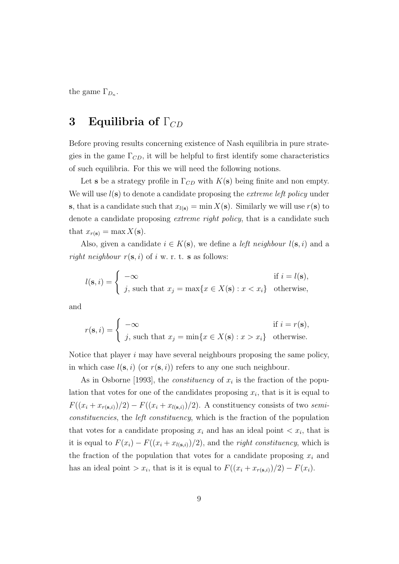the game  $\Gamma_{D_n}$ .

### 3 Equilibria of  $\Gamma_{CD}$

Before proving results concerning existence of Nash equilibria in pure strategies in the game  $\Gamma_{CD}$ , it will be helpful to first identify some characteristics of such equilibria. For this we will need the following notions.

Let s be a strategy profile in  $\Gamma_{CD}$  with  $K(s)$  being finite and non empty. We will use  $l(s)$  to denote a candidate proposing the *extreme left policy* under s, that is a candidate such that  $x_{l(s)} = \min X(s)$ . Similarly we will use  $r(s)$  to denote a candidate proposing *extreme right policy*, that is a candidate such that  $x_{r(s)} = \max X(s)$ .

Also, given a candidate  $i \in K(\mathbf{s})$ , we define a *left neighbour*  $l(\mathbf{s}, i)$  and a right neighbour  $r(\mathbf{s}, i)$  of i w. r. t. s as follows:

$$
l(\mathbf{s}, i) = \begin{cases} -\infty & \text{if } i = l(\mathbf{s}), \\ j, \text{ such that } x_j = \max\{x \in X(\mathbf{s}) : x < x_i\} & \text{otherwise,} \end{cases}
$$

and

$$
r(\mathbf{s}, i) = \begin{cases} -\infty & \text{if } i = r(\mathbf{s}), \\ j, \text{ such that } x_j = \min\{x \in X(\mathbf{s}) : x > x_i\} & \text{otherwise.} \end{cases}
$$

Notice that player  $i$  may have several neighbours proposing the same policy, in which case  $l(\mathbf{s}, i)$  (or  $r(\mathbf{s}, i)$ ) refers to any one such neighbour.

As in Osborne [1993], the *constituency* of  $x_i$  is the fraction of the population that votes for one of the candidates proposing  $x_i$ , that is it is equal to  $F((x_i + x_{r(s,i)})/2) - F((x_i + x_{l(s,i)})/2)$ . A constituency consists of two semiconstituencies, the left constituency, which is the fraction of the population that votes for a candidate proposing  $x_i$  and has an ideal point  $\langle x_i, \text{ that is} \rangle$ it is equal to  $F(x_i) - F((x_i + x_{l(s,i)})/2)$ , and the *right constituency*, which is the fraction of the population that votes for a candidate proposing  $x_i$  and has an ideal point >  $x_i$ , that is it is equal to  $F((x_i + x_{r(s,i)})/2) - F(x_i)$ .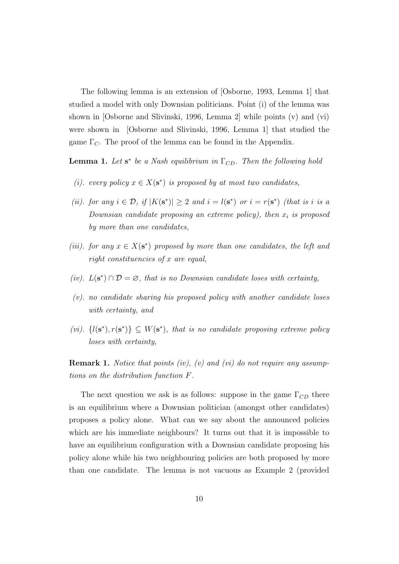The following lemma is an extension of [Osborne, 1993, Lemma 1] that studied a model with only Downsian politicians. Point (i) of the lemma was shown in [Osborne and Slivinski, 1996, Lemma 2] while points (v) and (vi) were shown in [Osborne and Slivinski, 1996, Lemma 1] that studied the game  $\Gamma_{\mathcal{C}}$ . The proof of the lemma can be found in the Appendix.

**Lemma 1.** Let  $s^*$  be a Nash equilibrium in  $\Gamma_{CD}$ . Then the following hold

- (i). every policy  $x \in X(\mathbf{s}^*)$  is proposed by at most two candidates,
- (ii). for any  $i \in \mathcal{D}$ , if  $|K(\mathbf{s}^*)| \geq 2$  and  $i = l(\mathbf{s}^*)$  or  $i = r(\mathbf{s}^*)$  (that is i is a Downsian candidate proposing an extreme policy), then  $x_i$  is proposed by more than one candidates,
- (iii). for any  $x \in X(\mathbf{s}^*)$  proposed by more than one candidates, the left and right constituencies of x are equal,
- (iv).  $L(s^*) \cap \mathcal{D} = \emptyset$ , that is no Downsian candidate loses with certainty,
- (v). no candidate sharing his proposed policy with another candidate loses with certainty, and
- (vi).  $\{l(\mathbf{s}^*), r(\mathbf{s}^*)\} \subseteq W(\mathbf{s}^*)$ , that is no candidate proposing extreme policy loses with certainty,

**Remark 1.** Notice that points (iv), (v) and (vi) do not require any assumptions on the distribution function F.

The next question we ask is as follows: suppose in the game  $\Gamma_{CD}$  there is an equilibrium where a Downsian politician (amongst other candidates) proposes a policy alone. What can we say about the announced policies which are his immediate neighbours? It turns out that it is impossible to have an equilibrium configuration with a Downsian candidate proposing his policy alone while his two neighbouring policies are both proposed by more than one candidate. The lemma is not vacuous as Example 2 (provided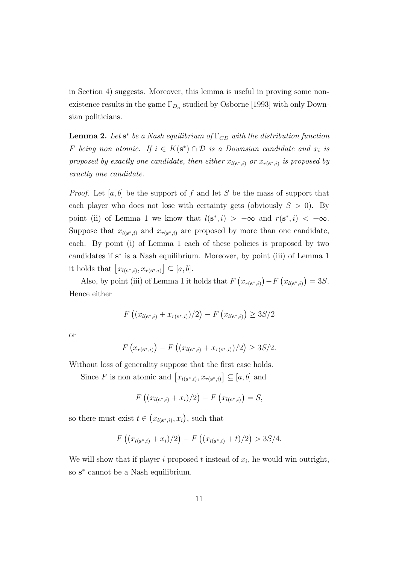in Section 4) suggests. Moreover, this lemma is useful in proving some nonexistence results in the game  $\Gamma_{D_n}$  studied by Osborne [1993] with only Downsian politicians.

**Lemma 2.** Let  $s^*$  be a Nash equilibrium of  $\Gamma_{CD}$  with the distribution function F being non atomic. If  $i \in K(\mathbf{s}^*) \cap \mathcal{D}$  is a Downsian candidate and  $x_i$  is proposed by exactly one candidate, then either  $x_{l(s^*,i)}$  or  $x_{r(s^*,i)}$  is proposed by exactly one candidate.

*Proof.* Let  $[a, b]$  be the support of f and let S be the mass of support that each player who does not lose with certainty gets (obviously  $S > 0$ ). By point (ii) of Lemma 1 we know that  $l(\mathbf{s}^*, i) > -\infty$  and  $r(\mathbf{s}^*, i) < +\infty$ . Suppose that  $x_{l(s^*,i)}$  and  $x_{r(s^*,i)}$  are proposed by more than one candidate, each. By point (i) of Lemma 1 each of these policies is proposed by two candidates if  $s^*$  is a Nash equilibrium. Moreover, by point (iii) of Lemma 1 it holds that  $[x_{l(\mathbf{s}^*,i)}, x_{r(\mathbf{s}^*,i)}] \subseteq [a, b].$ 

Also, by point (iii) of Lemma 1 it holds that  $F(x_{r(s^*,i)}) - F(x_{l(s^*,i)}) = 3S$ . Hence either

$$
F((x_{l(s^*,i)} + x_{r(s^*,i)})/2) - F(x_{l(s^*,i)}) \ge 3S/2
$$

or

$$
F(x_{r(s^*,i)}) - F((x_{l(s^*,i)} + x_{r(s^*,i)})/2) \ge 3S/2.
$$

Without loss of generality suppose that the first case holds.

Since F is non atomic and  $[x_{l(s^*,i)}, x_{r(s^*,i)}] \subseteq [a, b]$  and

$$
F((x_{l(s^*,i)}+x_i)/2) - F(x_{l(s^*,i)}) = S,
$$

so there must exist  $t \in (x_{l(s^*,i)}, x_i)$ , such that

$$
F((x_{l(s^*,i)}+x_i)/2) - F((x_{l(s^*,i)}+t)/2) > 3S/4.
$$

We will show that if player i proposed  $t$  instead of  $x_i$ , he would win outright, so  $s^*$  cannot be a Nash equilibrium.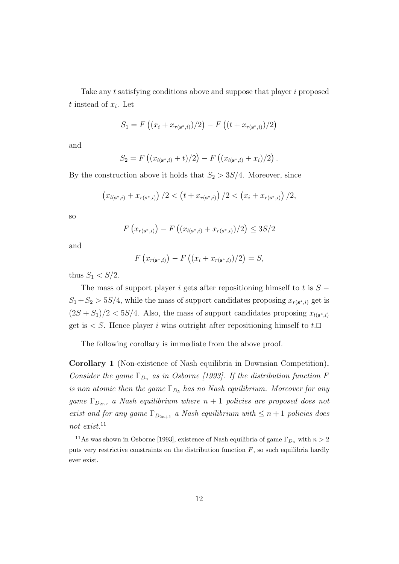Take any t satisfying conditions above and suppose that player i proposed t instead of  $x_i$ . Let

$$
S_1 = F((x_i + x_{r(s^*,i)})/2) - F((t + x_{r(s^*,i)})/2)
$$

and

$$
S_2 = F ((x_{l(s^*,i)} + t)/2) - F ((x_{l(s^*,i)} + x_i)/2).
$$

By the construction above it holds that  $S_2 > 3S/4$ . Moreover, since

$$
(x_{l(s^*,i)} + x_{r(s^*,i)})/2 < (t + x_{r(s^*,i)})/2 < (x_i + x_{r(s^*,i)})/2,
$$

so

$$
F(x_{r(s^*,i)}) - F((x_{l(s^*,i)} + x_{r(s^*,i)})/2) \le 3S/2
$$

and

$$
F(x_{r(s^*,i)}) - F((x_i + x_{r(s^*,i)})/2) = S,
$$

thus  $S_1 < S/2$ .

The mass of support player i gets after repositioning himself to t is  $S S_1 + S_2 > 5S/4$ , while the mass of support candidates proposing  $x_{r(s^*,i)}$  get is  $(2S + S_1)/2 < 5S/4$ . Also, the mass of support candidates proposing  $x_{l(s^*,i)}$ get is  $\lt S$ . Hence player *i* wins outright after repositioning himself to  $t.\Box$ 

The following corollary is immediate from the above proof.

Corollary 1 (Non-existence of Nash equilibria in Downsian Competition). Consider the game  $\Gamma_{D_n}$  as in Osborne [1993]. If the distribution function F is non atomic then the game  $\Gamma_{D_5}$  has no Nash equilibrium. Moreover for any game  $\Gamma_{D_{2n}}$ , a Nash equilibrium where  $n+1$  policies are proposed does not exist and for any game  $\Gamma_{D_{2n+1}}$  a Nash equilibrium with  $\leq n+1$  policies does not exist. $11$ 

<sup>&</sup>lt;sup>11</sup>As was shown in Osborne [1993], existence of Nash equilibria of game  $\Gamma_{D_n}$  with  $n > 2$ puts very restrictive constraints on the distribution function  $F$ , so such equilibria hardly ever exist.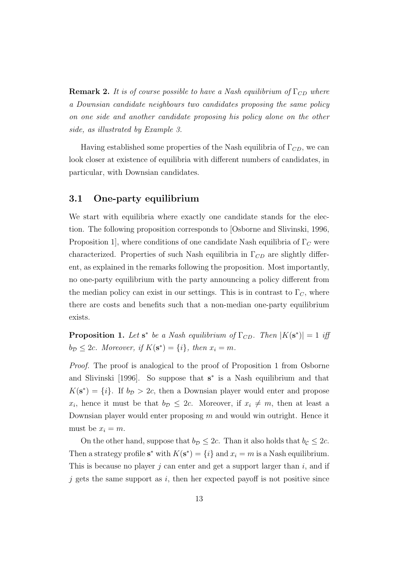**Remark 2.** It is of course possible to have a Nash equilibrium of  $\Gamma_{CD}$  where a Downsian candidate neighbours two candidates proposing the same policy on one side and another candidate proposing his policy alone on the other side, as illustrated by Example 3.

Having established some properties of the Nash equilibria of  $\Gamma_{CD}$ , we can look closer at existence of equilibria with different numbers of candidates, in particular, with Downsian candidates.

#### 3.1 One-party equilibrium

We start with equilibria where exactly one candidate stands for the election. The following proposition corresponds to [Osborne and Slivinski, 1996, Proposition 1, where conditions of one candidate Nash equilibria of  $\Gamma_C$  were characterized. Properties of such Nash equilibria in  $\Gamma_{CD}$  are slightly different, as explained in the remarks following the proposition. Most importantly, no one-party equilibrium with the party announcing a policy different from the median policy can exist in our settings. This is in contrast to  $\Gamma_C$ , where there are costs and benefits such that a non-median one-party equilibrium exists.

**Proposition 1.** Let  $s^*$  be a Nash equilibrium of  $\Gamma_{CD}$ . Then  $|K(s^*)|=1$  if  $b_{\mathcal{D}} \leq 2c$ . Moreover, if  $K(\mathbf{s}^*) = \{i\}$ , then  $x_i = m$ .

Proof. The proof is analogical to the proof of Proposition 1 from Osborne and Slivinski [1996]. So suppose that  $s^*$  is a Nash equilibrium and that  $K(\mathbf{s}^*) = \{i\}.$  If  $b_{\mathcal{D}} > 2c$ , then a Downsian player would enter and propose  $x_i$ , hence it must be that  $b_{\mathcal{D}} \leq 2c$ . Moreover, if  $x_i \neq m$ , then at least a Downsian player would enter proposing  $m$  and would win outright. Hence it must be  $x_i = m$ .

On the other hand, suppose that  $b_{\mathcal{D}} \leq 2c$ . Than it also holds that  $b_{\mathcal{C}} \leq 2c$ . Then a strategy profile  $s^*$  with  $K(s^*) = \{i\}$  and  $x_i = m$  is a Nash equilibrium. This is because no player  $i$  can enter and get a support larger than  $i$ , and if j gets the same support as i, then her expected payoff is not positive since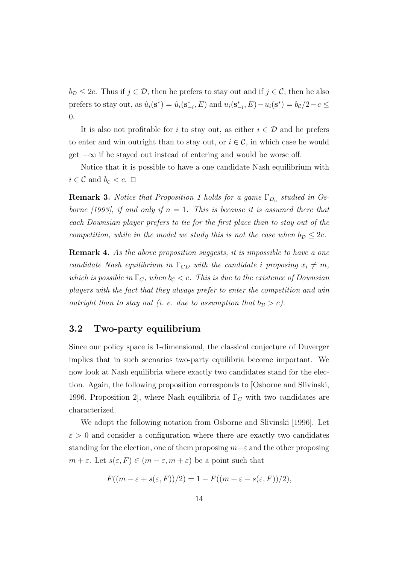$b_{\mathcal{D}} \leq 2c$ . Thus if  $j \in \mathcal{D}$ , then he prefers to stay out and if  $j \in \mathcal{C}$ , then he also prefers to stay out, as  $\hat{u}_i(\mathbf{s}^*) = \hat{u}_i(\mathbf{s}^*_{-i}, E)$  and  $u_i(\mathbf{s}^*_{-i}, E) - u_i(\mathbf{s}^*) = b_c/2 - c \leq$ 0.

It is also not profitable for i to stay out, as either  $i \in \mathcal{D}$  and he prefers to enter and win outright than to stay out, or  $i \in \mathcal{C}$ , in which case he would  $get -\infty$  if he stayed out instead of entering and would be worse off.

Notice that it is possible to have a one candidate Nash equilibrium with  $i \in \mathcal{C}$  and  $b_{\mathcal{C}} < c$ .  $\Box$ 

**Remark 3.** Notice that Proposition 1 holds for a game  $\Gamma_{D_n}$  studied in Osborne (1993), if and only if  $n = 1$ . This is because it is assumed there that each Downsian player prefers to tie for the first place than to stay out of the competition, while in the model we study this is not the case when  $b_{\mathcal{D}} \leq 2c$ .

**Remark 4.** As the above proposition suggests, it is impossible to have a one candidate Nash equilibrium in  $\Gamma_{CD}$  with the candidate i proposing  $x_i \neq m$ , which is possible in  $\Gamma_C$ , when  $b_c < c$ . This is due to the existence of Downsian players with the fact that they always prefer to enter the competition and win outright than to stay out (i. e. due to assumption that  $b_{\mathcal{D}} > c$ ).

#### 3.2 Two-party equilibrium

Since our policy space is 1-dimensional, the classical conjecture of Duverger implies that in such scenarios two-party equilibria become important. We now look at Nash equilibria where exactly two candidates stand for the election. Again, the following proposition corresponds to [Osborne and Slivinski, 1996, Proposition 2, where Nash equilibria of  $\Gamma_C$  with two candidates are characterized.

We adopt the following notation from Osborne and Slivinski [1996]. Let  $\varepsilon > 0$  and consider a configuration where there are exactly two candidates standing for the election, one of them proposing  $m-\varepsilon$  and the other proposing  $m + \varepsilon$ . Let  $s(\varepsilon, F) \in (m - \varepsilon, m + \varepsilon)$  be a point such that

$$
F((m - \varepsilon + s(\varepsilon, F))/2) = 1 - F((m + \varepsilon - s(\varepsilon, F))/2),
$$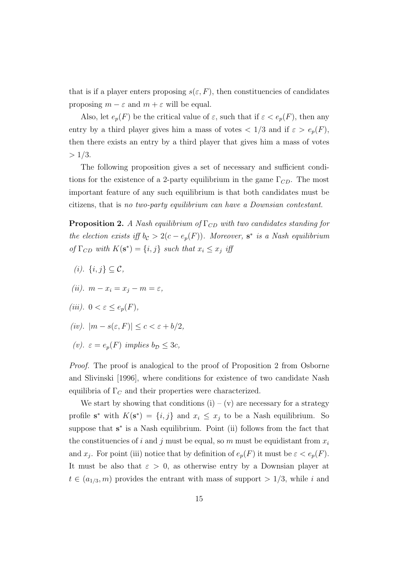that is if a player enters proposing  $s(\epsilon, F)$ , then constituencies of candidates proposing  $m - \varepsilon$  and  $m + \varepsilon$  will be equal.

Also, let  $e_p(F)$  be the critical value of  $\varepsilon$ , such that if  $\varepsilon < e_p(F)$ , then any entry by a third player gives him a mass of votes  $\langle 1/3 \rangle$  and if  $\varepsilon > e_p(F)$ , then there exists an entry by a third player that gives him a mass of votes  $> 1/3$ .

The following proposition gives a set of necessary and sufficient conditions for the existence of a 2-party equilibrium in the game  $\Gamma_{CD}$ . The most important feature of any such equilibrium is that both candidates must be citizens, that is no two-party equilibrium can have a Downsian contestant.

**Proposition 2.** A Nash equilibrium of  $\Gamma_{CD}$  with two candidates standing for the election exists iff  $b_c > 2(c - e_p(F))$ . Moreover,  $s^*$  is a Nash equilibrium of  $\Gamma_{CD}$  with  $K(\mathbf{s}^*) = \{i, j\}$  such that  $x_i \leq x_j$  iff

(i).  $\{i, j\} \subseteq \mathcal{C}$ ,

$$
(ii). \ \ m - x_i = x_j - m = \varepsilon,
$$

- (iii).  $0 < \varepsilon \leq e_p(F)$ ,
- (iv).  $|m s(\varepsilon, F)| \leq c < \varepsilon + b/2$ ,
- (v).  $\varepsilon = e_n(F)$  implies  $b_n \leq 3c$ ,

Proof. The proof is analogical to the proof of Proposition 2 from Osborne and Slivinski [1996], where conditions for existence of two candidate Nash equilibria of  $\Gamma_C$  and their properties were characterized.

We start by showing that conditions  $(i) - (v)$  are necessary for a strategy profile  $s^*$  with  $K(s^*) = \{i, j\}$  and  $x_i \leq x_j$  to be a Nash equilibrium. So suppose that  $s^*$  is a Nash equilibrium. Point (ii) follows from the fact that the constituencies of i and j must be equal, so m must be equidistant from  $x_i$ and  $x_j$ . For point (iii) notice that by definition of  $e_p(F)$  it must be  $\varepsilon < e_p(F)$ . It must be also that  $\varepsilon > 0$ , as otherwise entry by a Downsian player at  $t \in (a_{1/3}, m)$  provides the entrant with mass of support > 1/3, while i and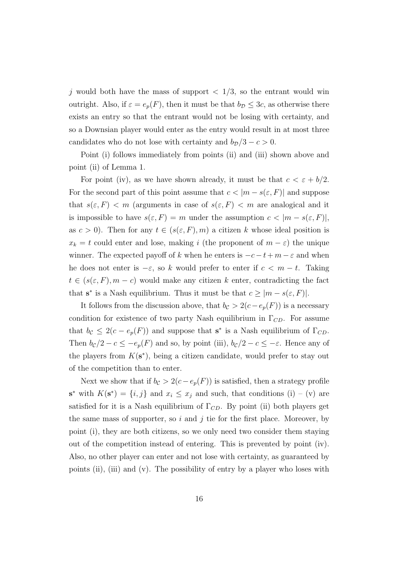j would both have the mass of support  $\langle 1/3, \text{ so the entrant would win} \rangle$ outright. Also, if  $\varepsilon = e_p(F)$ , then it must be that  $b_p \leq 3c$ , as otherwise there exists an entry so that the entrant would not be losing with certainty, and so a Downsian player would enter as the entry would result in at most three candidates who do not lose with certainty and  $b_{\mathcal{D}}/3 - c > 0$ .

Point (i) follows immediately from points (ii) and (iii) shown above and point (ii) of Lemma 1.

For point (iv), as we have shown already, it must be that  $c < \varepsilon + b/2$ . For the second part of this point assume that  $c < |m - s(\varepsilon, F)|$  and suppose that  $s(\varepsilon, F) < m$  (arguments in case of  $s(\varepsilon, F) < m$  are analogical and it is impossible to have  $s(\varepsilon, F) = m$  under the assumption  $c < |m - s(\varepsilon, F)|$ , as  $c > 0$ ). Then for any  $t \in (s(\varepsilon, F), m)$  a citizen k whose ideal position is  $x_k = t$  could enter and lose, making i (the proponent of  $m - \varepsilon$ ) the unique winner. The expected payoff of k when he enters is  $-c-t+m-\varepsilon$  and when he does not enter is  $-\varepsilon$ , so k would prefer to enter if  $c < m - t$ . Taking  $t \in (s(\varepsilon, F), m - c)$  would make any citizen k enter, contradicting the fact that  $s^*$  is a Nash equilibrium. Thus it must be that  $c \geq |m - s(\varepsilon, F)|$ .

It follows from the discussion above, that  $b_c > 2(c-e_p(F))$  is a necessary condition for existence of two party Nash equilibrium in  $\Gamma_{CD}$ . For assume that  $b_{\mathcal{C}} \leq 2(c - e_p(F))$  and suppose that  $s^*$  is a Nash equilibrium of  $\Gamma_{CD}$ . Then  $b_{\mathcal{C}}/2 - c \leq -e_p(F)$  and so, by point (iii),  $b_{\mathcal{C}}/2 - c \leq -\varepsilon$ . Hence any of the players from  $K(\mathbf{s}^*)$ , being a citizen candidate, would prefer to stay out of the competition than to enter.

Next we show that if  $b_{\mathcal{C}} > 2(c-e_p(F))$  is satisfied, then a strategy profile  $\mathbf{s}^*$  with  $K(\mathbf{s}^*) = \{i, j\}$  and  $x_i \leq x_j$  and such, that conditions (i) – (v) are satisfied for it is a Nash equilibrium of  $\Gamma_{CD}$ . By point (ii) both players get the same mass of supporter, so i and j tie for the first place. Moreover, by point (i), they are both citizens, so we only need two consider them staying out of the competition instead of entering. This is prevented by point (iv). Also, no other player can enter and not lose with certainty, as guaranteed by points (ii), (iii) and (v). The possibility of entry by a player who loses with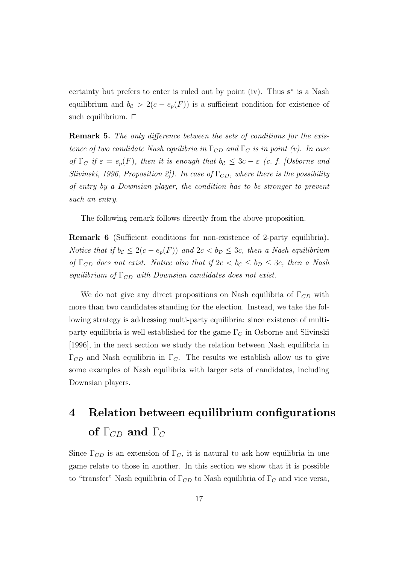certainty but prefers to enter is ruled out by point (iv). Thus  $s^*$  is a Nash equilibrium and  $b_c > 2(c - e_p(F))$  is a sufficient condition for existence of such equilibrium.  $\square$ 

**Remark 5.** The only difference between the sets of conditions for the existence of two candidate Nash equilibria in  $\Gamma_{CD}$  and  $\Gamma_C$  is in point (v). In case of  $\Gamma_C$  if  $\varepsilon = e_p(F)$ , then it is enough that  $b_c \leq 3c - \varepsilon$  (c. f. [Osborne and Slivinski, 1996, Proposition 2. In case of  $\Gamma_{CD}$ , where there is the possibility of entry by a Downsian player, the condition has to be stronger to prevent such an entry.

The following remark follows directly from the above proposition.

Remark 6 (Sufficient conditions for non-existence of 2-party equilibria). Notice that if  $b_c \leq 2(c - e_p(F))$  and  $2c < b_p \leq 3c$ , then a Nash equilibrium of  $\Gamma_{CD}$  does not exist. Notice also that if  $2c < b_c \le b_D \le 3c$ , then a Nash equilibrium of  $\Gamma_{CD}$  with Downsian candidates does not exist.

We do not give any direct propositions on Nash equilibria of  $\Gamma_{CD}$  with more than two candidates standing for the election. Instead, we take the following strategy is addressing multi-party equilibria: since existence of multiparty equilibria is well established for the game  $\Gamma_C$  in Osborne and Slivinski [1996], in the next section we study the relation between Nash equilibria in  $\Gamma_{CD}$  and Nash equilibria in  $\Gamma_{C}$ . The results we establish allow us to give some examples of Nash equilibria with larger sets of candidates, including Downsian players.

## 4 Relation between equilibrium configurations of  $\Gamma_{CD}$  and  $\Gamma_C$

Since  $\Gamma_{CD}$  is an extension of  $\Gamma_C$ , it is natural to ask how equilibria in one game relate to those in another. In this section we show that it is possible to "transfer" Nash equilibria of  $\Gamma_{CD}$  to Nash equilibria of  $\Gamma_C$  and vice versa,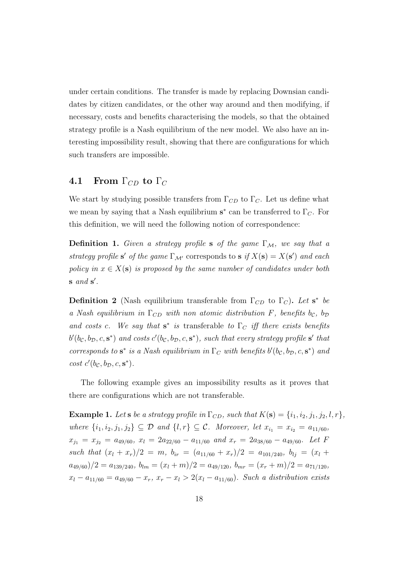under certain conditions. The transfer is made by replacing Downsian candidates by citizen candidates, or the other way around and then modifying, if necessary, costs and benefits characterising the models, so that the obtained strategy profile is a Nash equilibrium of the new model. We also have an interesting impossibility result, showing that there are configurations for which such transfers are impossible.

#### 4.1 From  $\Gamma_{CD}$  to  $\Gamma_C$

We start by studying possible transfers from  $\Gamma_{CD}$  to  $\Gamma_{C}$ . Let us define what we mean by saying that a Nash equilibrium  $s^*$  can be transferred to  $\Gamma_C$ . For this definition, we will need the following notion of correspondence:

**Definition 1.** Given a strategy profile s of the game  $\Gamma_M$ , we say that a strategy profile s' of the game  $\Gamma_{\mathcal{M}'}$  corresponds to s if  $X(\mathbf{s}) = X(\mathbf{s}')$  and each policy in  $x \in X(\mathbf{s})$  is proposed by the same number of candidates under both  $\mathbf{s}$  and  $\mathbf{s}'$ .

**Definition 2** (Nash equilibrium transferable from  $\Gamma_{CD}$  to  $\Gamma_{C}$ ). Let s<sup>\*</sup> be a Nash equilibrium in  $\Gamma_{CD}$  with non atomic distribution F, benefits b<sub>c</sub>, b<sub>D</sub> and costs c. We say that  $s^*$  is transferable to  $\Gamma_C$  iff there exists benefits  $b'(b_{\mathcal{C}}, b_{\mathcal{D}}, c, \mathbf{s}^*)$  and costs  $c'(b_{\mathcal{C}}, b_{\mathcal{D}}, c, \mathbf{s}^*)$ , such that every strategy profile  $\mathbf{s}'$  that corresponds to  $\mathbf{s}^*$  is a Nash equilibrium in  $\Gamma_C$  with benefits  $b'(b_{\mathcal{C}}, b_{\mathcal{D}}, c, \mathbf{s}^*)$  and  $cost\ c'(b_{\mathcal{C}}, b_{\mathcal{D}}, c, \mathbf{s}^*)$ .

The following example gives an impossibility results as it proves that there are configurations which are not transferable.

**Example 1.** Let **s** be a strategy profile in  $\Gamma_{CD}$ , such that  $K(\mathbf{s}) = \{i_1, i_2, j_1, j_2, l, r\}$ , where  $\{i_1, i_2, j_1, j_2\} \subseteq \mathcal{D}$  and  $\{l, r\} \subseteq \mathcal{C}$ . Moreover, let  $x_{i_1} = x_{i_2} = a_{11/60}$ ,  $x_{j1} = x_{j2} = a_{49/60}, x_l = 2a_{22/60} - a_{11/60}$  and  $x_r = 2a_{38/60} - a_{49/60}$ . Let F such that  $(x_l + x_r)/2 = m$ ,  $b_{ir} = (a_{11/60} + x_r)/2 = a_{101/240}$ ,  $b_{lj} = (x_l +$  $a_{49/60})/2 = a_{139/240}, b_{lm} = (x_l + m)/2 = a_{49/120}, b_{mr} = (x_r + m)/2 = a_{71/120},$  $x_l - a_{11/60} = a_{49/60} - x_r$ ,  $x_r - x_l > 2(x_l - a_{11/60})$ . Such a distribution exists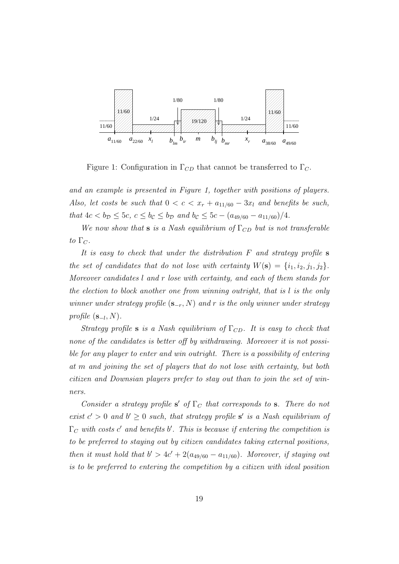

Figure 1: Configuration in  $\Gamma_{CD}$  that cannot be transferred to  $\Gamma_{C}$ .

and an example is presented in Figure 1, together with positions of players. Also, let costs be such that  $0 < c < x_r + a_{11/60} - 3x_l$  and benefits be such, that  $4c < b_{\mathcal{D}} \le 5c, c \le b_{\mathcal{C}} \le b_{\mathcal{D}}$  and  $b_{\mathcal{C}} \le 5c - (a_{49/60} - a_{11/60})/4$ .

We now show that **s** is a Nash equilibrium of  $\Gamma_{CD}$  but is not transferable to  $\Gamma_C$ .

It is easy to check that under the distribution  $F$  and strategy profile  $s$ the set of candidates that do not lose with certainty  $W(s) = \{i_1, i_2, j_1, j_2\}.$ Moreover candidates l and r lose with certainty, and each of them stands for the election to block another one from winning outright, that is l is the only winner under strategy profile  $(s_{-r}, N)$  and r is the only winner under strategy  $profile$  (s<sub>−l</sub>, N).

Strategy profile s is a Nash equilibrium of  $\Gamma_{CD}$ . It is easy to check that none of the candidates is better off by withdrawing. Moreover it is not possible for any player to enter and win outright. There is a possibility of entering at m and joining the set of players that do not lose with certainty, but both citizen and Downsian players prefer to stay out than to join the set of winners.

Consider a strategy profile s' of  $\Gamma_C$  that corresponds to s. There do not exist  $c' > 0$  and  $b' \geq 0$  such, that strategy profile s' is a Nash equilibrium of  $\Gamma_C$  with costs c' and benefits b'. This is because if entering the competition is to be preferred to staying out by citizen candidates taking external positions, then it must hold that  $b' > 4c' + 2(a_{49/60} - a_{11/60})$ . Moreover, if staying out is to be preferred to entering the competition by a citizen with ideal position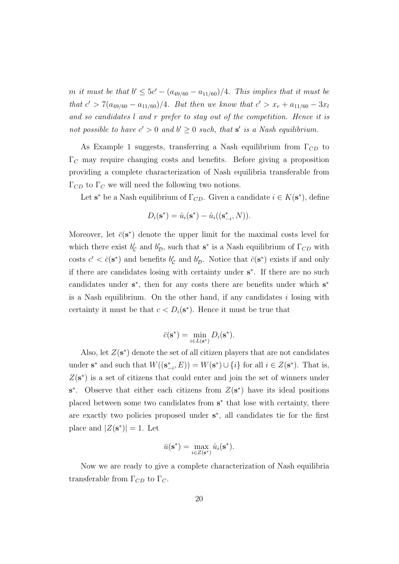m it must be that  $b' \le 5c' - (a_{49/60} - a_{11/60})/4$ . This implies that it must be that  $c' > 7(a_{49/60} - a_{11/60})/4$ . But then we know that  $c' > x_r + a_{11/60} - 3x_l$ and so candidates l and r prefer to stay out of the competition. Hence it is not possible to have  $c' > 0$  and  $b' \geq 0$  such, that  $s'$  is a Nash equilibrium.

As Example 1 suggests, transferring a Nash equilibrium from  $\Gamma_{CD}$  to  $\Gamma_c$  may require changing costs and benefits. Before giving a proposition providing a complete characterization of Nash equilibria transferable from  $\Gamma_{CD}$  to  $\Gamma_C$  we will need the following two notions.

Let  $s^*$  be a Nash equilibrium of  $\Gamma_{CD}$ . Given a candidate  $i \in K(s^*)$ , define

$$
D_i(\mathbf{s}^*) = \hat{u}_i(\mathbf{s}^*) - \hat{u}_i((\mathbf{s}^*_{-i}, N)).
$$

Moreover, let  $\bar{c}(s^*)$  denote the upper limit for the maximal costs level for which there exist  $b'_{\mathcal{C}}$  and  $b'_{\mathcal{D}}$ , such that  $s^*$  is a Nash equilibrium of  $\Gamma_{CD}$  with costs  $c' < \bar{c}(s^*)$  and benefits  $b'_c$  and  $b'_c$ . Notice that  $\bar{c}(s^*)$  exists if and only if there are candidates losing with certainty under  $s^*$ . If there are no such candidates under s<sup>\*</sup>, then for any costs there are benefits under which s<sup>\*</sup> is a Nash equilibrium. On the other hand, if any candidates  $i$  losing with certainty it must be that  $c < D_i(\mathbf{s}^*)$ . Hence it must be true that

$$
\bar{c}(\mathbf{s}^*) = \min_{i \in L(\mathbf{s}^*)} D_i(\mathbf{s}^*).
$$

Also, let  $Z(\mathbf{s}^*)$  denote the set of all citizen players that are not candidates under  $s^*$  and such that  $W((s^*_{-i}, E)) = W(s^*) \cup \{i\}$  for all  $i \in Z(s^*)$ . That is,  $Z(\mathbf{s}^*)$  is a set of citizens that could enter and join the set of winners under s<sup>\*</sup>. Observe that either each citizens from  $Z(s^*)$  have its ideal positions placed between some two candidates from  $s^*$  that lose with certainty, there are exactly two policies proposed under s ∗ , all candidates tie for the first place and  $|Z(\mathbf{s}^*)|=1$ . Let

$$
\bar{u}(\mathbf{s}^*) = \max_{i \in Z(\mathbf{s}^*)} \hat{u}_i(\mathbf{s}^*).
$$

Now we are ready to give a complete characterization of Nash equilibria transferable from  $\Gamma_{CD}$  to  $\Gamma_{C}$ .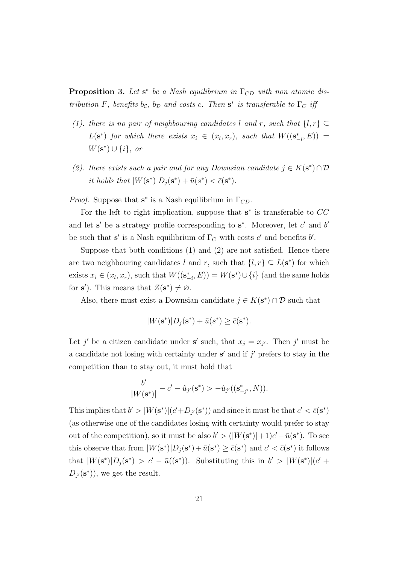**Proposition 3.** Let  $s^*$  be a Nash equilibrium in  $\Gamma_{CD}$  with non atomic distribution F, benefits b<sub>c</sub>, b<sub>D</sub> and costs c. Then  $s^*$  is transferable to  $\Gamma_C$  iff

- (1). there is no pair of neighbouring candidates l and r, such that  $\{l, r\} \subseteq$  $L(\mathbf{s}^*)$  for which there exists  $x_i \in (x_l, x_r)$ , such that  $W((\mathbf{s}_{-i}^*, E))$  =  $W(\mathbf{s}^*) \cup \{i\},\$ or
- (2). there exists such a pair and for any Downsian candidate  $j \in K(\mathbf{s}^*) \cap \mathcal{D}$ it holds that  $|W(\mathbf{s}^*)|D_j(\mathbf{s}^*) + \bar{u}(s^*) < \bar{c}(\mathbf{s}^*)$ .

*Proof.* Suppose that  $s^*$  is a Nash equilibrium in  $\Gamma_{CD}$ .

For the left to right implication, suppose that  $s^*$  is transferable to  $CC$ and let s' be a strategy profile corresponding to  $s^*$ . Moreover, let c' and b' be such that s' is a Nash equilibrium of  $\Gamma_C$  with costs c' and benefits b'.

Suppose that both conditions (1) and (2) are not satisfied. Hence there are two neighbouring candidates l and r, such that  $\{l, r\} \subseteq L(\mathbf{s}^*)$  for which exists  $x_i \in (x_l, x_r)$ , such that  $W((s_{-i}^*, E)) = W(s^*) \cup \{i\}$  (and the same holds for s'). This means that  $Z(\mathbf{s}^*) \neq \emptyset$ .

Also, there must exist a Downsian candidate  $j \in K(\mathbf{s}^*) \cap \mathcal{D}$  such that

$$
|W(\mathbf{s}^*)|D_j(\mathbf{s}^*) + \bar{u}(s^*) \ge \bar{c}(\mathbf{s}^*).
$$

Let j' be a citizen candidate under s' such, that  $x_j = x_{j'}$ . Then j' must be a candidate not losing with certainty under  $s'$  and if  $j'$  prefers to stay in the competition than to stay out, it must hold that

$$
\frac{b'}{|W(\mathbf{s}^*)|} - c' - \hat{u}_{j'}(\mathbf{s}^*) > -\hat{u}_{j'}((\mathbf{s}^*_{-j'}, N)).
$$

This implies that  $b' > |W(s^*)|(c'+D_{j'}(s^*))$  and since it must be that  $c' < \bar{c}(s^*)$ (as otherwise one of the candidates losing with certainty would prefer to stay out of the competition), so it must be also  $b' > (|W(\mathbf{s}^*)|+1)c' - \bar{u}(\mathbf{s}^*)$ . To see this observe that from  $|W(\mathbf{s}^*)|D_j(\mathbf{s}^*) + \bar{u}(\mathbf{s}^*) \ge \bar{c}(\mathbf{s}^*)$  and  $c' < \bar{c}(\mathbf{s}^*)$  it follows that  $|W(\mathbf{s}^*)|D_j(\mathbf{s}^*)| > c' - \bar{u}((\mathbf{s}^*))$ . Substituting this in  $b' > |W(\mathbf{s}^*)|(c' +$  $D_{j'}(\mathbf{s}^*))$ , we get the result.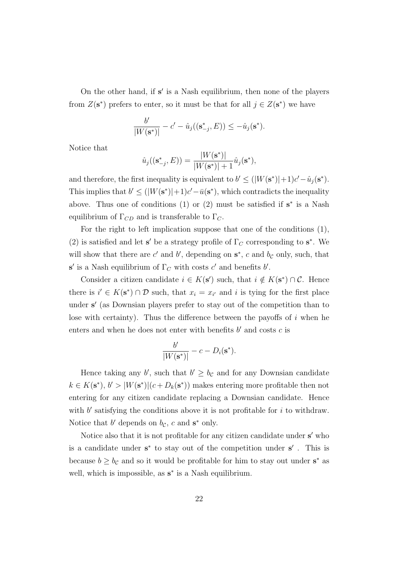On the other hand, if  $s'$  is a Nash equilibrium, then none of the players from  $Z(\mathbf{s}^*)$  prefers to enter, so it must be that for all  $j \in Z(\mathbf{s}^*)$  we have

$$
\frac{b'}{|W(\mathbf{s}^*)|} - c' - \hat{u}_j((\mathbf{s}^*_{-j}, E)) \leq -\hat{u}_j(\mathbf{s}^*).
$$

Notice that

$$
\hat{u}_j((\mathbf{s}_{-j}^*, E)) = \frac{|W(\mathbf{s}^*)|}{|W(\mathbf{s}^*)| + 1} \hat{u}_j(\mathbf{s}^*),
$$

and therefore, the first inequality is equivalent to  $b' \leq (|W(\mathbf{s}^*)|+1)c' - \hat{u}_j(\mathbf{s}^*)$ . This implies that  $b' \leq (|W(s^*)|+1)c' - \bar{u}(s^*)$ , which contradicts the inequality above. Thus one of conditions  $(1)$  or  $(2)$  must be satisfied if  $s^*$  is a Nash equilibrium of  $\Gamma_{CD}$  and is transferable to  $\Gamma_{C}$ .

For the right to left implication suppose that one of the conditions (1), (2) is satisfied and let s' be a strategy profile of  $\Gamma_C$  corresponding to s<sup>\*</sup>. We will show that there are c' and b', depending on  $s^*$ , c and  $b_c$  only, such, that s' is a Nash equilibrium of  $\Gamma_C$  with costs c' and benefits b'.

Consider a citizen candidate  $i \in K(\mathbf{s}')$  such, that  $i \notin K(\mathbf{s}^*) \cap C$ . Hence there is  $i' \in K(\mathbf{s}^*) \cap \mathcal{D}$  such, that  $x_i = x_{i'}$  and i is tying for the first place under s' (as Downsian players prefer to stay out of the competition than to lose with certainty). Thus the difference between the payoffs of  $i$  when he enters and when he does not enter with benefits  $b'$  and costs  $c$  is

$$
\frac{b'}{|W(\mathbf{s}^*)|} - c - D_i(\mathbf{s}^*).
$$

Hence taking any b', such that  $b' \geq b_c$  and for any Downsian candidate  $k \in K(\mathbf{s}^*), b' > |W(\mathbf{s}^*)|(c + D_k(\mathbf{s}^*))$  makes entering more profitable then not entering for any citizen candidate replacing a Downsian candidate. Hence with  $b'$  satisfying the conditions above it is not profitable for  $i$  to withdraw. Notice that  $b'$  depends on  $b_{\mathcal{C}}$ ,  $c$  and  $\mathbf{s}^*$  only.

Notice also that it is not profitable for any citizen candidate under s' who is a candidate under  $s^*$  to stay out of the competition under  $s'$ . This is because  $b \geq b_{\mathcal{C}}$  and so it would be profitable for him to stay out under  $s^*$  as well, which is impossible, as  $s^*$  is a Nash equilibrium.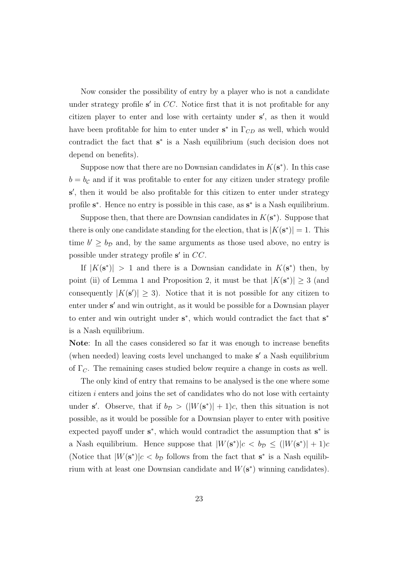Now consider the possibility of entry by a player who is not a candidate under strategy profile  $s'$  in  $CC$ . Notice first that it is not profitable for any citizen player to enter and lose with certainty under  $s'$ , as then it would have been profitable for him to enter under  $s^*$  in  $\Gamma_{CD}$  as well, which would contradict the fact that  $s^*$  is a Nash equilibrium (such decision does not depend on benefits).

Suppose now that there are no Downsian candidates in  $K(\mathbf{s}^*)$ . In this case  $b = b<sub>c</sub>$  and if it was profitable to enter for any citizen under strategy profile s', then it would be also profitable for this citizen to enter under strategy profile s<sup>\*</sup>. Hence no entry is possible in this case, as s<sup>\*</sup> is a Nash equilibrium.

Suppose then, that there are Downsian candidates in  $K(\mathbf{s}^*)$ . Suppose that there is only one candidate standing for the election, that is  $|K(s^*)|=1$ . This time  $b' \ge b_{\mathcal{D}}$  and, by the same arguments as those used above, no entry is possible under strategy profile  $s'$  in  $CC$ .

If  $|K(\mathbf{s}^*)| > 1$  and there is a Downsian candidate in  $K(\mathbf{s}^*)$  then, by point (ii) of Lemma 1 and Proposition 2, it must be that  $|K(\mathbf{s}^*)| \geq 3$  (and consequently  $|K(\mathbf{s}')| \geq 3$ . Notice that it is not possible for any citizen to enter under s' and win outright, as it would be possible for a Downsian player to enter and win outright under  $s^*$ , which would contradict the fact that  $s^*$ is a Nash equilibrium.

Note: In all the cases considered so far it was enough to increase benefits (when needed) leaving costs level unchanged to make  $s'$  a Nash equilibrium of  $\Gamma_{C}$ . The remaining cases studied below require a change in costs as well.

The only kind of entry that remains to be analysed is the one where some citizen i enters and joins the set of candidates who do not lose with certainty under **s'**. Observe, that if  $b_{\mathcal{D}} > (|W(\mathbf{s}^*)| + 1)c$ , then this situation is not possible, as it would be possible for a Downsian player to enter with positive expected payoff under  $s^*$ , which would contradict the assumption that  $s^*$  is a Nash equilibrium. Hence suppose that  $|W(\mathbf{s}^*)|c \, \langle b_{\mathcal{D}} \leq (|W(\mathbf{s}^*)| + 1)c$ (Notice that  $|W(\mathbf{s}^*)|c < b_{\mathcal{D}}$  follows from the fact that  $\mathbf{s}^*$  is a Nash equilibrium with at least one Downsian candidate and  $W(\mathbf{s}^*)$  winning candidates).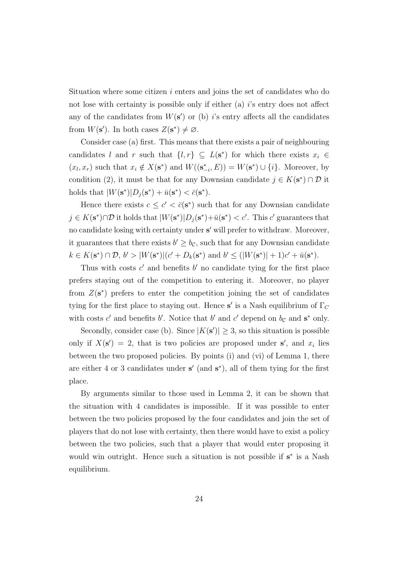Situation where some citizen  $i$  enters and joins the set of candidates who do not lose with certainty is possible only if either (a)  $i$ 's entry does not affect any of the candidates from  $W(s')$  or (b) is entry affects all the candidates from  $W(\mathbf{s}')$ . In both cases  $Z(\mathbf{s}^*) \neq \emptyset$ .

Consider case (a) first. This means that there exists a pair of neighbouring candidates l and r such that  $\{l, r\} \subseteq L(\mathbf{s}^*)$  for which there exists  $x_i \in$  $(x_l, x_r)$  such that  $x_i \notin X(\mathbf{s}^*)$  and  $W((\mathbf{s}^*_{-i}, E)) = W(\mathbf{s}^*) \cup \{i\}$ . Moreover, by condition (2), it must be that for any Downsian candidate  $j \in K(\mathbf{s}^*) \cap \mathcal{D}$  it holds that  $|W(\mathbf{s}^*)|D_j(\mathbf{s}^*) + \bar{u}(\mathbf{s}^*) < \bar{c}(\mathbf{s}^*)$ .

Hence there exists  $c \leq c' < \bar{c}(s^*)$  such that for any Downsian candidate  $j \in K(\mathbf{s}^*) \cap \mathcal{D}$  it holds that  $|W(\mathbf{s}^*)|D_j(\mathbf{s}^*) + \bar{u}(\mathbf{s}^*) < c'$ . This c' guarantees that no candidate losing with certainty under s' will prefer to withdraw. Moreover, it guarantees that there exists  $b' \geq b_{\mathcal{C}}$ , such that for any Downsian candidate  $k \in K(\mathbf{s}^*) \cap \mathcal{D}, b' > |W(\mathbf{s}^*)|(c' + D_k(\mathbf{s}^*) \text{ and } b' \leq (|W(\mathbf{s}^*)| + 1)c' + \bar{u}(\mathbf{s}^*)$ .

Thus with costs  $c'$  and benefits  $b'$  no candidate tying for the first place prefers staying out of the competition to entering it. Moreover, no player from  $Z(\mathbf{s}^*)$  prefers to enter the competition joining the set of candidates tying for the first place to staying out. Hence  $s'$  is a Nash equilibrium of  $\Gamma_C$ with costs c' and benefits b'. Notice that b' and c' depend on  $b_c$  and  $s^*$  only.

Secondly, consider case (b). Since  $|K(\mathbf{s}')| \geq 3$ , so this situation is possible only if  $X(\mathbf{s}') = 2$ , that is two policies are proposed under  $\mathbf{s}'$ , and  $x_i$  lies between the two proposed policies. By points (i) and (vi) of Lemma 1, there are either 4 or 3 candidates under  $s'$  (and  $s^*$ ), all of them tying for the first place.

By arguments similar to those used in Lemma 2, it can be shown that the situation with 4 candidates is impossible. If it was possible to enter between the two policies proposed by the four candidates and join the set of players that do not lose with certainty, then there would have to exist a policy between the two policies, such that a player that would enter proposing it would win outright. Hence such a situation is not possible if  $s^*$  is a Nash equilibrium.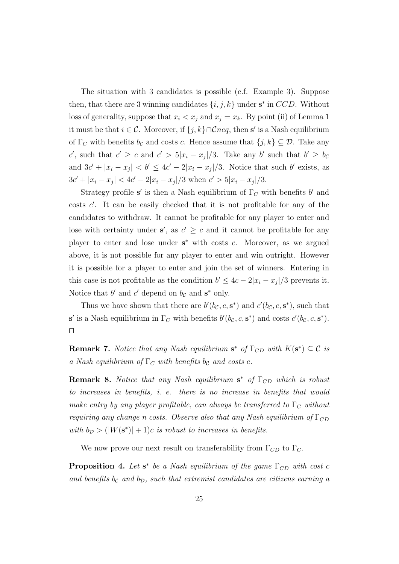The situation with 3 candidates is possible (c.f. Example 3). Suppose then, that there are 3 winning candidates  $\{i, j, k\}$  under  $s^*$  in CCD. Without loss of generality, suppose that  $x_i < x_j$  and  $x_j = x_k$ . By point (ii) of Lemma 1 it must be that  $i \in \mathcal{C}$ . Moreover, if  $\{j, k\} \cap \mathcal{C}$ *neq*, then s' is a Nash equilibrium of  $\Gamma_C$  with benefits  $b_{\mathcal{C}}$  and costs c. Hence assume that  $\{j, k\} \subseteq \mathcal{D}$ . Take any c', such that  $c' \geq c$  and  $c' > 5|x_i - x_j|/3$ . Take any b' such that  $b' \geq b_c$ and  $3c' + |x_i - x_j| < b' \le 4c' - 2|x_i - x_j|/3$ . Notice that such b' exists, as  $3c' + |x_i - x_j| < 4c' - 2|x_i - x_j|/3$  when  $c' > 5|x_i - x_j|/3$ .

Strategy profile s' is then a Nash equilibrium of  $\Gamma_C$  with benefits b' and  $\cosh c'$ . It can be easily checked that it is not profitable for any of the candidates to withdraw. It cannot be profitable for any player to enter and lose with certainty under  $s'$ , as  $c' \geq c$  and it cannot be profitable for any player to enter and lose under  $s^*$  with costs c. Moreover, as we argued above, it is not possible for any player to enter and win outright. However it is possible for a player to enter and join the set of winners. Entering in this case is not profitable as the condition  $b' \leq 4c - 2|x_i - x_j|/3$  prevents it. Notice that  $b'$  and  $c'$  depend on  $b_c$  and  $s^*$  only.

Thus we have shown that there are  $b'(b_{\mathcal{C}}, c, s^*)$  and  $c'(b_{\mathcal{C}}, c, s^*)$ , such that s' is a Nash equilibrium in  $\Gamma_C$  with benefits  $b'(b_{\mathcal{C}}, c, s^*)$  and costs  $c'(b_{\mathcal{C}}, c, s^*)$ .  $\Box$ 

**Remark 7.** Notice that any Nash equilibrium  $s^*$  of  $\Gamma_{CD}$  with  $K(s^*) \subseteq C$  is a Nash equilibrium of  $\Gamma_C$  with benefits b<sub>c</sub> and costs c.

**Remark 8.** Notice that any Nash equilibrium  $s^*$  of  $\Gamma_{CD}$  which is robust to increases in benefits, i. e. there is no increase in benefits that would make entry by any player profitable, can always be transferred to  $\Gamma_C$  without requiring any change n costs. Observe also that any Nash equilibrium of  $\Gamma_{CD}$ with  $b_{\mathcal{D}} > (|W(\mathbf{s}^*)| + 1)c$  is robust to increases in benefits.

We now prove our next result on transferability from  $\Gamma_{CD}$  to  $\Gamma_{C}$ .

**Proposition 4.** Let  $s^*$  be a Nash equilibrium of the game  $\Gamma_{CD}$  with cost c and benefits  $b_c$  and  $b_D$ , such that extremist candidates are citizens earning a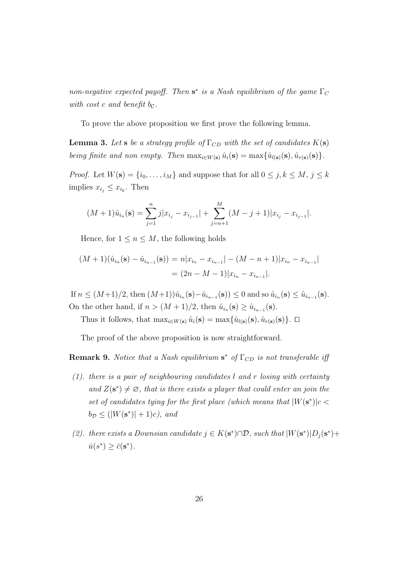non-negative expected payoff. Then  $s^*$  is a Nash equilibrium of the game  $\Gamma_C$ with cost c and benefit  $b_{\mathcal{C}}$ .

To prove the above proposition we first prove the following lemma.

**Lemma 3.** Let **s** be a strategy profile of  $\Gamma_{CD}$  with the set of candidates  $K(\mathbf{s})$ being finite and non empty. Then  $\max_{i \in W(\mathbf{s})} \hat{u}_i(\mathbf{s}) = \max \{ \hat{u}_{l(\mathbf{s})}(\mathbf{s}), \hat{u}_{r(\mathbf{s})}(\mathbf{s}) \}.$ 

*Proof.* Let  $W(\mathbf{s}) = \{i_0, \ldots, i_M\}$  and suppose that for all  $0 \leq j, k \leq M, j \leq k$ implies  $x_{i_j} \leq x_{i_k}$ . Then

$$
(M+1)\hat{u}_{i_n}(\mathbf{s}) = \sum_{j=1}^n j |x_{i_j} - x_{i_{j-1}}| + \sum_{j=n+1}^M (M-j+1)|x_{i_j} - x_{i_{j-1}}|.
$$

Hence, for  $1 \leq n \leq M$ , the following holds

$$
(M+1)(\hat{u}_{i_n}(\mathbf{s}) - \hat{u}_{i_{n-1}}(\mathbf{s})) = n|x_{i_n} - x_{i_{n-1}}| - (M - n + 1)|x_{i_n} - x_{i_{n-1}}|
$$
  
=  $(2n - M - 1)|x_{i_n} - x_{i_{n-1}}|$ .

If  $n \leq (M+1)/2$ , then  $(M+1))\hat{u}_{i_n}(\mathbf{s}) - \hat{u}_{i_{n-1}}(\mathbf{s})) \leq 0$  and so  $\hat{u}_{i_n}(\mathbf{s}) \leq \hat{u}_{i_{n-1}}(\mathbf{s})$ . On the other hand, if  $n > (M+1)/2$ , then  $\hat{u}_{i_n}(\mathbf{s}) \geq \hat{u}_{i_{n-1}}(\mathbf{s})$ .

Thus it follows, that  $\max_{i\in W(\mathbf{s})}\hat{u}_i(\mathbf{s}) = \max{\{\hat{u}_{l(\mathbf{s})}(\mathbf{s}), \hat{u}_{r(\mathbf{s})}(\mathbf{s})\}}. \ \Box$ 

The proof of the above proposition is now straightforward.

**Remark 9.** Notice that a Nash equilibrium  $s^*$  of  $\Gamma_{CD}$  is not transferable if

- $(1)$ . there is a pair of neighbouring candidates l and r losing with certainty and  $Z(s^*) \neq \emptyset$ , that is there exists a player that could enter an join the set of candidates tying for the first place (which means that  $|W(s^*)|c <$  $b_{\mathcal{D}} \leq (|W(\mathbf{s}^*)| + 1)c$ , and
- (2). there exists a Downsian candidate  $j \in K(\mathbf{s}^*) \cap \mathcal{D}$ , such that  $|W(\mathbf{s}^*)|D_j(\mathbf{s}^*)+$  $\bar{u}(s^*) \geq \bar{c}(s^*).$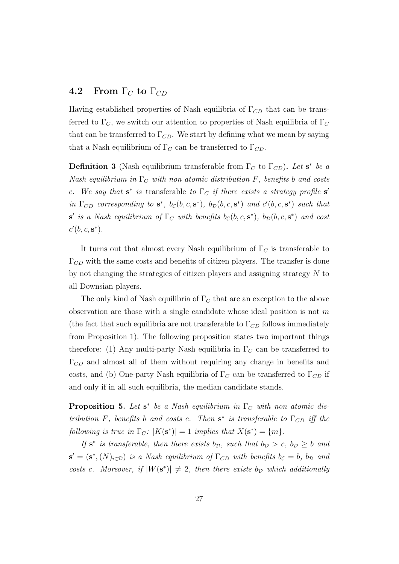#### 4.2 From  $\Gamma_C$  to  $\Gamma_{CD}$

Having established properties of Nash equilibria of  $\Gamma_{CD}$  that can be transferred to  $\Gamma_C$ , we switch our attention to properties of Nash equilibria of  $\Gamma_C$ that can be transferred to  $\Gamma_{CD}$ . We start by defining what we mean by saying that a Nash equilibrium of  $\Gamma_C$  can be transferred to  $\Gamma_{CD}$ .

**Definition 3** (Nash equilibrium transferable from  $\Gamma_C$  to  $\Gamma_{CD}$ ). Let s<sup>\*</sup> be a Nash equilibrium in  $\Gamma_C$  with non atomic distribution F, benefits b and costs c. We say that  $s^*$  is transferable to  $\Gamma_C$  if there exists a strategy profile  $s'$ in  $\Gamma_{CD}$  corresponding to  $\mathbf{s}^*$ ,  $b_c(b, c, \mathbf{s}^*)$ ,  $b_D(b, c, \mathbf{s}^*)$  and  $c'(b, c, \mathbf{s}^*)$  such that  $\mathbf{s}'$  is a Nash equilibrium of  $\Gamma_C$  with benefits  $b_{\mathcal{C}}(b,c,\mathbf{s}^*)$ ,  $b_{\mathcal{D}}(b,c,\mathbf{s}^*)$  and cost  $c'(b, c, \mathbf{s}^*)$ .

It turns out that almost every Nash equilibrium of  $\Gamma_C$  is transferable to  $\Gamma_{CD}$  with the same costs and benefits of citizen players. The transfer is done by not changing the strategies of citizen players and assigning strategy N to all Downsian players.

The only kind of Nash equilibria of  $\Gamma_C$  that are an exception to the above observation are those with a single candidate whose ideal position is not  $m$ (the fact that such equilibria are not transferable to  $\Gamma_{CD}$  follows immediately from Proposition 1). The following proposition states two important things therefore: (1) Any multi-party Nash equilibria in  $\Gamma_{\rm C}$  can be transferred to  $\Gamma_{CD}$  and almost all of them without requiring any change in benefits and costs, and (b) One-party Nash equilibria of  $\Gamma_C$  can be transferred to  $\Gamma_{CD}$  if and only if in all such equilibria, the median candidate stands.

**Proposition 5.** Let  $s^*$  be a Nash equilibrium in  $\Gamma_C$  with non atomic distribution F, benefits b and costs c. Then  $s^*$  is transferable to  $\Gamma_{CD}$  iff the following is true in  $\Gamma_C$ :  $|K(\mathbf{s}^*)| = 1$  implies that  $X(\mathbf{s}^*) = \{m\}.$ 

If  $s^*$  is transferable, then there exists  $b_{\mathcal{D}}$ , such that  $b_{\mathcal{D}} > c$ ,  $b_{\mathcal{D}} \geq b$  and  $\mathbf{s}' = (\mathbf{s}^*, (N)_{i \in \mathcal{D}})$  is a Nash equilibrium of  $\Gamma_{CD}$  with benefits  $b_{\mathcal{C}} = b$ ,  $b_{\mathcal{D}}$  and costs c. Moreover, if  $|W(s^*)| \neq 2$ , then there exists b<sub>p</sub> which additionally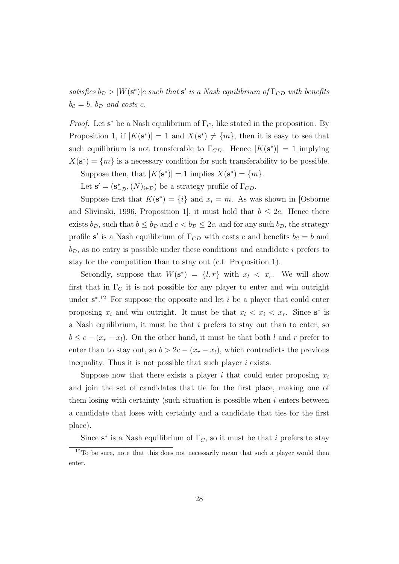satisfies  $b_{\mathcal{D}} > |W(\mathbf{s}^*)|c$  such that  $\mathbf{s}'$  is a Nash equilibrium of  $\Gamma_{CD}$  with benefits  $b_{\mathcal{C}} = b$ ,  $b_{\mathcal{D}}$  and costs c.

*Proof.* Let  $s^*$  be a Nash equilibrium of  $\Gamma_C$ , like stated in the proposition. By Proposition 1, if  $|K(s^*)| = 1$  and  $X(s^*) \neq \{m\}$ , then it is easy to see that such equilibrium is not transferable to  $\Gamma_{CD}$ . Hence  $|K(\mathbf{s}^*)|=1$  implying  $X(\mathbf{s}^*) = \{m\}$  is a necessary condition for such transferability to be possible.

Suppose then, that  $|K(\mathbf{s}^*)| = 1$  implies  $X(\mathbf{s}^*) = \{m\}.$ 

Let  $\mathbf{s}' = (\mathbf{s}_{-\mathcal{D}}^*, (N)_{i \in \mathcal{D}})$  be a strategy profile of  $\Gamma_{CD}$ .

Suppose first that  $K(\mathbf{s}^*) = \{i\}$  and  $x_i = m$ . As was shown in [Osborne and Slivinski, 1996, Proposition 1, it must hold that  $b \leq 2c$ . Hence there exists  $b_{\mathcal{D}}$ , such that  $b \leq b_{\mathcal{D}}$  and  $c < b_{\mathcal{D}} \leq 2c$ , and for any such  $b_{\mathcal{D}}$ , the strategy profile s' is a Nash equilibrium of  $\Gamma_{CD}$  with costs c and benefits  $b_{\mathcal{C}} = b$  and  $b_{\mathcal{D}}$ , as no entry is possible under these conditions and candidate i prefers to stay for the competition than to stay out (c.f. Proposition 1).

Secondly, suppose that  $W(s^*) = \{l, r\}$  with  $x_l < x_r$ . We will show first that in  $\Gamma_C$  it is not possible for any player to enter and win outright under  $s^*$ <sup>12</sup> For suppose the opposite and let i be a player that could enter proposing  $x_i$  and win outright. It must be that  $x_l < x_i < x_r$ . Since  $s^*$  is a Nash equilibrium, it must be that  $i$  prefers to stay out than to enter, so  $b \leq c - (x_r - x_l)$ . On the other hand, it must be that both l and r prefer to enter than to stay out, so  $b > 2c - (x_r - x_l)$ , which contradicts the previous inequality. Thus it is not possible that such player  $i$  exists.

Suppose now that there exists a player i that could enter proposing  $x_i$ and join the set of candidates that tie for the first place, making one of them losing with certainty (such situation is possible when  $i$  enters between a candidate that loses with certainty and a candidate that ties for the first place).

Since  $s^*$  is a Nash equilibrium of  $\Gamma_C$ , so it must be that *i* prefers to stay

<sup>&</sup>lt;sup>12</sup>To be sure, note that this does not necessarily mean that such a player would then enter.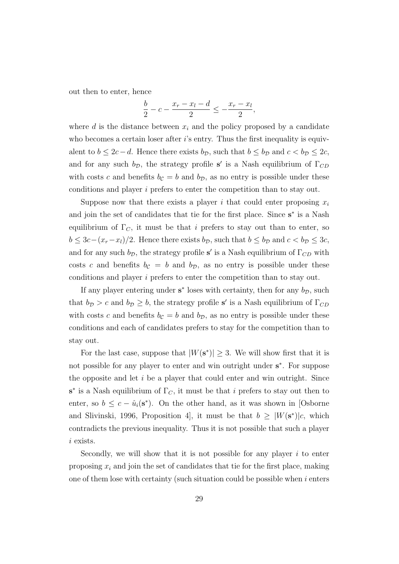out then to enter, hence

$$
\frac{b}{2} - c - \frac{x_r - x_l - d}{2} \le -\frac{x_r - x_l}{2},
$$

where  $d$  is the distance between  $x_i$  and the policy proposed by a candidate who becomes a certain loser after  $i$ 's entry. Thus the first inequality is equivalent to  $b \leq 2c-d$ . Hence there exists  $b_{\mathcal{D}}$ , such that  $b \leq b_{\mathcal{D}}$  and  $c < b_{\mathcal{D}} \leq 2c$ , and for any such  $b_{\mathcal{D}}$ , the strategy profile s' is a Nash equilibrium of  $\Gamma_{CD}$ with costs c and benefits  $b_c = b$  and  $b<sub>D</sub>$ , as no entry is possible under these conditions and player i prefers to enter the competition than to stay out.

Suppose now that there exists a player i that could enter proposing  $x_i$ and join the set of candidates that tie for the first place. Since  $s^*$  is a Nash equilibrium of  $\Gamma_C$ , it must be that i prefers to stay out than to enter, so  $b \leq 3c-(x_r-x_l)/2$ . Hence there exists  $b_{\mathcal{D}}$ , such that  $b \leq b_{\mathcal{D}}$  and  $c < b_{\mathcal{D}} \leq 3c$ , and for any such  $b_{\mathcal{D}}$ , the strategy profile s' is a Nash equilibrium of  $\Gamma_{CD}$  with costs c and benefits  $b_c = b$  and  $b_p$ , as no entry is possible under these conditions and player i prefers to enter the competition than to stay out.

If any player entering under  $s^*$  loses with certainty, then for any  $b_{\mathcal{D}}$ , such that  $b_{\mathcal{D}} > c$  and  $b_{\mathcal{D}} \geq b$ , the strategy profile s' is a Nash equilibrium of  $\Gamma_{CD}$ with costs c and benefits  $b_c = b$  and  $b<sub>D</sub>$ , as no entry is possible under these conditions and each of candidates prefers to stay for the competition than to stay out.

For the last case, suppose that  $|W(s^*)| \geq 3$ . We will show first that it is not possible for any player to enter and win outright under  $s^*$ . For suppose the opposite and let  $i$  be a player that could enter and win outright. Since  $s^*$  is a Nash equilibrium of  $\Gamma_C$ , it must be that i prefers to stay out then to enter, so  $b \leq c - \hat{u}_i(\mathbf{s}^*)$ . On the other hand, as it was shown in [Osborne and Slivinski, 1996, Proposition 4, it must be that  $b \geq |W(\mathbf{s}^*)|c$ , which contradicts the previous inequality. Thus it is not possible that such a player i exists.

Secondly, we will show that it is not possible for any player  $i$  to enter proposing  $x_i$  and join the set of candidates that tie for the first place, making one of them lose with certainty (such situation could be possible when  $i$  enters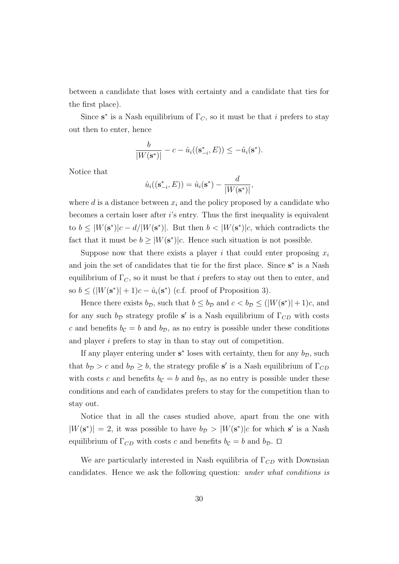between a candidate that loses with certainty and a candidate that ties for the first place).

Since  $s^*$  is a Nash equilibrium of  $\Gamma_C$ , so it must be that *i* prefers to stay out then to enter, hence

$$
\frac{b}{|W(\mathbf{s}^*)|} - c - \hat{u}_i((\mathbf{s}^*_{-i}, E)) \leq -\hat{u}_i(\mathbf{s}^*).
$$

Notice that

$$
\hat{u}_i((\mathbf{s}_{-i}^*, E)) = \hat{u}_i(\mathbf{s}^*) - \frac{d}{|W(\mathbf{s}^*)|},
$$

where d is a distance between  $x_i$  and the policy proposed by a candidate who becomes a certain loser after i's entry. Thus the first inequality is equivalent to  $b \leq |W(\mathbf{s}^*)|c - d/|W(\mathbf{s}^*)|$ . But then  $b < |W(\mathbf{s}^*)|c$ , which contradicts the fact that it must be  $b \geq |W(\mathbf{s}^*)|c$ . Hence such situation is not possible.

Suppose now that there exists a player i that could enter proposing  $x_i$ and join the set of candidates that tie for the first place. Since  $s^*$  is a Nash equilibrium of  $\Gamma_C$ , so it must be that i prefers to stay out then to enter, and so  $b \leq (|W(\mathbf{s}^*)| + 1)c - \hat{u}_i(\mathbf{s}^*)$  (c.f. proof of Proposition 3).

Hence there exists  $b_{\mathcal{D}}$ , such that  $b \leq b_{\mathcal{D}}$  and  $c < b_{\mathcal{D}} \leq (|W(\mathbf{s}^*)| + 1)c$ , and for any such  $b_{\mathcal{D}}$  strategy profile s' is a Nash equilibrium of  $\Gamma_{CD}$  with costs c and benefits  $b_c = b$  and  $b_p$ , as no entry is possible under these conditions and player i prefers to stay in than to stay out of competition.

If any player entering under  $s^*$  loses with certainty, then for any  $b_{\mathcal{D}}$ , such that  $b_{\mathcal{D}} > c$  and  $b_{\mathcal{D}} \geq b$ , the strategy profile s' is a Nash equilibrium of  $\Gamma_{CD}$ with costs c and benefits  $b_c = b$  and  $b_p$ , as no entry is possible under these conditions and each of candidates prefers to stay for the competition than to stay out.

Notice that in all the cases studied above, apart from the one with  $|W(\mathbf{s}^*)|=2$ , it was possible to have  $b_{\mathcal{D}}>|W(\mathbf{s}^*)|c$  for which s' is a Nash equilibrium of  $\Gamma_{CD}$  with costs c and benefits  $b_{\mathcal{C}} = b$  and  $b_{\mathcal{D}}$ .  $\Box$ 

We are particularly interested in Nash equilibria of  $\Gamma_{CD}$  with Downsian candidates. Hence we ask the following question: under what conditions is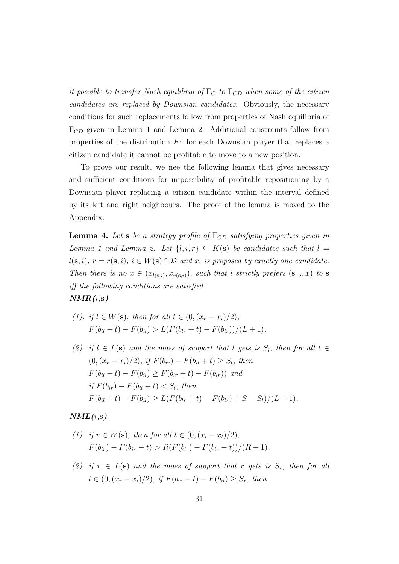it possible to transfer Nash equilibria of  $\Gamma_C$  to  $\Gamma_{CD}$  when some of the citizen candidates are replaced by Downsian candidates. Obviously, the necessary conditions for such replacements follow from properties of Nash equilibria of  $\Gamma_{CD}$  given in Lemma 1 and Lemma 2. Additional constraints follow from properties of the distribution  $F$ : for each Downsian player that replaces a citizen candidate it cannot be profitable to move to a new position.

To prove our result, we nee the following lemma that gives necessary and sufficient conditions for impossibility of profitable repositioning by a Downsian player replacing a citizen candidate within the interval defined by its left and right neighbours. The proof of the lemma is moved to the Appendix.

**Lemma 4.** Let **s** be a strategy profile of  $\Gamma_{CD}$  satisfying properties given in Lemma 1 and Lemma 2. Let  $\{l, i, r\} \subseteq K(\mathbf{s})$  be candidates such that  $l =$  $l(\mathbf{s}, i), r = r(\mathbf{s}, i), i \in W(\mathbf{s}) \cap \mathcal{D}$  and  $x_i$  is proposed by exactly one candidate. Then there is no  $x \in (x_{l(s,i)}, x_{r(s,i)})$ , such that i strictly prefers  $(s_{-i}, x)$  to s iff the following conditions are satisfied:  $NMR(i,s)$ 

- (1). if  $l \in W(\mathbf{s})$ , then for all  $t \in (0, (x_r x_i)/2)$ ,  $F(b_{il} + t) - F(b_{il}) > L(F(b_{lr} + t) - F(b_{lr})) / (L + 1),$
- (2). if  $l \in L(s)$  and the mass of support that l gets is  $S_l$ , then for all  $t \in$  $(0, (x_r - x_i)/2)$ , if  $F(b_{ir}) - F(b_{il} + t) \geq S_l$ , then  $F(b_{il} + t) - F(b_{il}) \geq F(b_{lr} + t) - F(b_{lr}))$  and if  $F(b_{ir}) - F(b_{il} + t) < S_l$ , then  $F(b_{il} + t) - F(b_{il}) > L(F(b_{lr} + t) - F(b_{lr}) + S - S_l)/(L + 1),$

#### $NML(i,s)$

- (1). if  $r \in W(\mathbf{s})$ , then for all  $t \in (0, (x_i x_i)/2)$ ,  $F(b_{ir}) - F(b_{ir} - t) > R(F(b_{ir}) - F(b_{ir} - t))/(R + 1),$
- (2). if  $r \in L(s)$  and the mass of support that r gets is  $S_r$ , then for all  $t \in (0, (x_r - x_i)/2), \text{ if } F(b_{ir} - t) - F(b_{il}) \geq S_r, \text{ then}$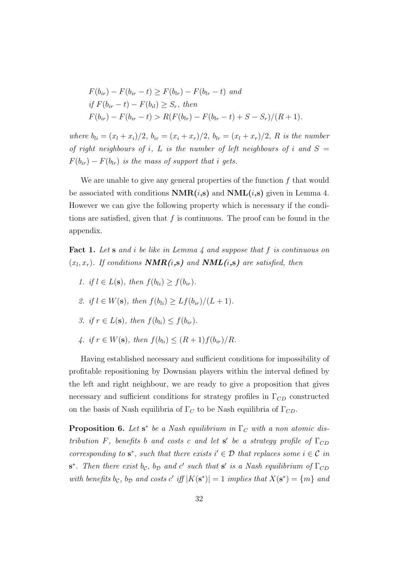$$
F(b_{ir}) - F(b_{ir} - t) \ge F(b_{lr}) - F(b_{lr} - t) \text{ and}
$$
  
if  $F(b_{ir} - t) - F(b_{il}) \ge S_r$ , then  

$$
F(b_{ir}) - F(b_{ir} - t) > R(F(b_{lr}) - F(b_{lr} - t) + S - S_r)/(R + 1).
$$

where  $b_{li} = (x_l + x_i)/2$ ,  $b_{ir} = (x_i + x_r)/2$ ,  $b_{lr} = (x_l + x_r)/2$ , R is the number of right neighbours of i, L is the number of left neighbours of i and  $S =$  $F(b_{ir}) - F(b_{ir})$  is the mass of support that i gets.

We are unable to give any general properties of the function  $f$  that would be associated with conditions  $NMR(i,s)$  and  $NML(i,s)$  given in Lemma 4. However we can give the following property which is necessary if the conditions are satisfied, given that  $f$  is continuous. The proof can be found in the appendix.

**Fact 1.** Let **s** and i be like in Lemma  $\lambda$  and suppose that  $f$  is continuous on  $(x_l, x_r)$ . If conditions  $\boldsymbol{NMR}(i,\mathbf{s})$  and  $\boldsymbol{NML}(i,\mathbf{s})$  are satisfied, then

1. if  $l \in L(\mathbf{s})$ , then  $f(b_{li}) > f(b_{ir})$ . 2. if  $l \in W(\mathbf{s})$ , then  $f(b_{li}) > L f(b_{ir})/(L+1)$ . 3. if  $r \in L(\mathbf{s})$ , then  $f(b_{li}) \leq f(b_{ir})$ . 4. if  $r \in W(\mathbf{s})$ , then  $f(b_{li}) \leq (R+1)f(b_{ir})/R$ .

Having established necessary and sufficient conditions for impossibility of profitable repositioning by Downsian players within the interval defined by the left and right neighbour, we are ready to give a proposition that gives necessary and sufficient conditions for strategy profiles in  $\Gamma_{CD}$  constructed on the basis of Nash equilibria of  $\Gamma_C$  to be Nash equilibria of  $\Gamma_{CD}$ .

**Proposition 6.** Let  $s^*$  be a Nash equilibrium in  $\Gamma_C$  with a non atomic distribution F, benefits b and costs c and let s' be a strategy profile of  $\Gamma_{CD}$ corresponding to  $s^*$ , such that there exists  $i' \in \mathcal{D}$  that replaces some  $i \in \mathcal{C}$  in  $\mathbf{s}^*$ . Then there exist  $b_{\mathcal{C}}$ ,  $b_{\mathcal{D}}$  and  $c'$  such that  $\mathbf{s}'$  is a Nash equilibrium of  $\Gamma_{CD}$ with benefits b<sub>c</sub>, b<sub>D</sub> and costs c' iff  $|K(s^*)| = 1$  implies that  $X(s^*) = \{m\}$  and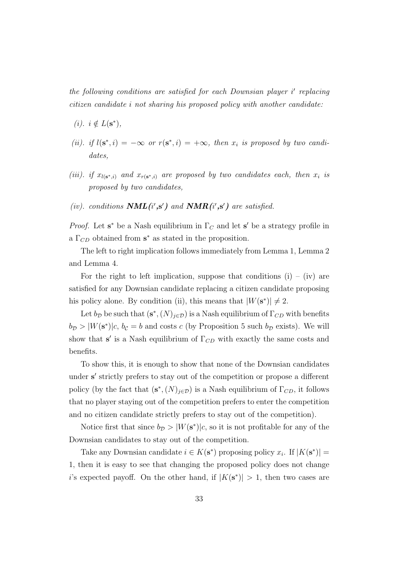the following conditions are satisfied for each Downsian player  $i'$  replacing citizen candidate i not sharing his proposed policy with another candidate:

- (*i*).  $i \notin L(\mathbf{s}^*),$
- (ii). if  $l(\mathbf{s}^*, i) = -\infty$  or  $r(\mathbf{s}^*, i) = +\infty$ , then  $x_i$  is proposed by two candidates,
- (iii). if  $x_{l(s^*,i)}$  and  $x_{r(s^*,i)}$  are proposed by two candidates each, then  $x_i$  is proposed by two candidates,
- (iv). conditions  $NML(i', s')$  and  $NMR(i', s')$  are satisfied.

*Proof.* Let  $s^*$  be a Nash equilibrium in  $\Gamma_C$  and let  $s'$  be a strategy profile in a  $\Gamma_{CD}$  obtained from  $s^*$  as stated in the proposition.

The left to right implication follows immediately from Lemma 1, Lemma 2 and Lemma 4.

For the right to left implication, suppose that conditions  $(i) - (iv)$  are satisfied for any Downsian candidate replacing a citizen candidate proposing his policy alone. By condition (ii), this means that  $|W(s^*)| \neq 2$ .

Let  $b_{\mathcal{D}}$  be such that  $(\mathbf{s}^*, (N)_{j \in \mathcal{D}})$  is a Nash equilibrium of  $\Gamma_{CD}$  with benefits  $b_{\mathcal{D}} > |W(\mathbf{s}^*)|c, b_{\mathcal{C}} = b$  and costs c (by Proposition 5 such  $b_{\mathcal{D}}$  exists). We will show that  $s'$  is a Nash equilibrium of  $\Gamma_{CD}$  with exactly the same costs and benefits.

To show this, it is enough to show that none of the Downsian candidates under s' strictly prefers to stay out of the competition or propose a different policy (by the fact that  $(\mathbf{s}^*, (N)_{j \in \mathcal{D}})$  is a Nash equilibrium of  $\Gamma_{CD}$ , it follows that no player staying out of the competition prefers to enter the competition and no citizen candidate strictly prefers to stay out of the competition).

Notice first that since  $b_{\mathcal{D}} > |W(\mathbf{s}^*)|c$ , so it is not profitable for any of the Downsian candidates to stay out of the competition.

Take any Downsian candidate  $i \in K(\mathbf{s}^*)$  proposing policy  $x_i$ . If  $|K(\mathbf{s}^*)|$  = 1, then it is easy to see that changing the proposed policy does not change i's expected payoff. On the other hand, if  $|K(\mathbf{s}^*)| > 1$ , then two cases are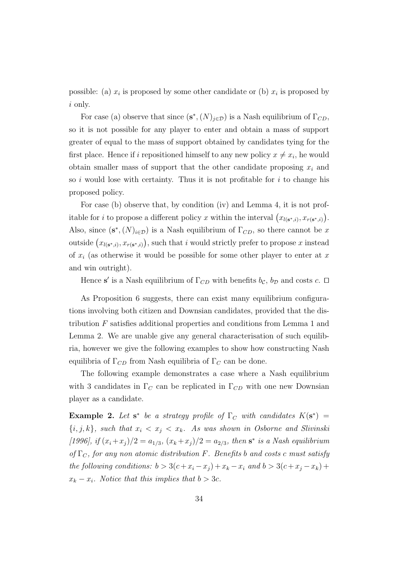possible: (a)  $x_i$  is proposed by some other candidate or (b)  $x_i$  is proposed by i only.

For case (a) observe that since  $(\mathbf{s}^*, (N)_{j \in \mathcal{D}})$  is a Nash equilibrium of  $\Gamma_{CD}$ , so it is not possible for any player to enter and obtain a mass of support greater of equal to the mass of support obtained by candidates tying for the first place. Hence if i repositioned himself to any new policy  $x \neq x_i$ , he would obtain smaller mass of support that the other candidate proposing  $x_i$  and so i would lose with certainty. Thus it is not profitable for i to change his proposed policy.

For case (b) observe that, by condition (iv) and Lemma 4, it is not profitable for *i* to propose a different policy x within the interval  $(x_{l(s^*,i)}, x_{r(s^*,i)})$ . Also, since  $(\mathbf{s}^*, (N)_{i \in \mathcal{D}})$  is a Nash equilibrium of  $\Gamma_{CD}$ , so there cannot be x outside  $(x_{l(s^*,i)}, x_{r(s^*,i)})$ , such that i would strictly prefer to propose x instead of  $x_i$  (as otherwise it would be possible for some other player to enter at x and win outright).

Hence s' is a Nash equilibrium of  $\Gamma_{CD}$  with benefits  $b_{\mathcal{C}}$ ,  $b_{\mathcal{D}}$  and costs  $c$ .  $\Box$ 

As Proposition 6 suggests, there can exist many equilibrium configurations involving both citizen and Downsian candidates, provided that the distribution F satisfies additional properties and conditions from Lemma 1 and Lemma 2. We are unable give any general characterisation of such equilibria, however we give the following examples to show how constructing Nash equilibria of  $\Gamma_{CD}$  from Nash equilibria of  $\Gamma_C$  can be done.

The following example demonstrates a case where a Nash equilibrium with 3 candidates in  $\Gamma_C$  can be replicated in  $\Gamma_{CD}$  with one new Downsian player as a candidate.

**Example 2.** Let  $s^*$  be a strategy profile of  $\Gamma_C$  with candidates  $K(s^*)$  =  $\{i, j, k\}$ , such that  $x_i < x_j < x_k$ . As was shown in Osborne and Slivinski [1996], if  $(x_i + x_j)/2 = a_{1/3}$ ,  $(x_k + x_j)/2 = a_{2/3}$ , then s<sup>\*</sup> is a Nash equilibrium of  $\Gamma_C$ , for any non atomic distribution F. Benefits b and costs c must satisfy the following conditions:  $b > 3(c+x_i-x_j)+x_k-x_i$  and  $b > 3(c+x_j-x_k)+x_k$  $x_k - x_i$ . Notice that this implies that  $b > 3c$ .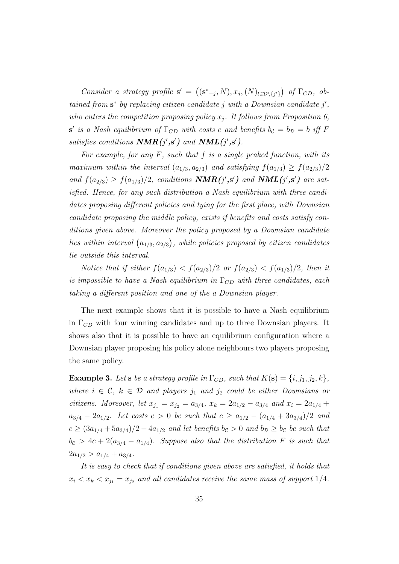Consider a strategy profile  $\mathbf{s}' = ((\mathbf{s}_{-j}, N), x_j, (N)_{l \in \mathcal{D} \setminus \{j'\}})$  of  $\Gamma_{CD}$ , obtained from  $s^*$  by replacing citizen candidate j with a Downsian candidate j', who enters the competition proposing policy  $x_i$ . It follows from Proposition 6, s' is a Nash equilibrium of  $\Gamma_{CD}$  with costs c and benefits  $b_{\mathcal{C}} = b_{\mathcal{D}} = b$  iff F satisfies conditions  $NMR(j',s')$  and  $NML(j',s')$ .

For example, for any  $F$ , such that  $f$  is a single peaked function, with its maximum within the interval  $(a_{1/3}, a_{2/3})$  and satisfying  $f(a_{1/3}) \ge f(a_{2/3})/2$ and  $f(a_{2/3}) \ge f(a_{1/3})/2$ , conditions  $NMR(j',s')$  and  $NML(j',s')$  are satisfied. Hence, for any such distribution a Nash equilibrium with three candidates proposing different policies and tying for the first place, with Downsian candidate proposing the middle policy, exists if benefits and costs satisfy conditions given above. Moreover the policy proposed by a Downsian candidate lies within interval  $(a_{1/3}, a_{2/3})$ , while policies proposed by citizen candidates lie outside this interval.

Notice that if either  $f(a_{1/3}) < f(a_{2/3})/2$  or  $f(a_{2/3}) < f(a_{1/3})/2$ , then it is impossible to have a Nash equilibrium in  $\Gamma_{CD}$  with three candidates, each taking a different position and one of the a Downsian player.

The next example shows that it is possible to have a Nash equilibrium in  $\Gamma_{CD}$  with four winning candidates and up to three Downsian players. It shows also that it is possible to have an equilibrium configuration where a Downsian player proposing his policy alone neighbours two players proposing the same policy.

**Example 3.** Let **s** be a strategy profile in  $\Gamma_{CD}$ , such that  $K(\mathbf{s}) = \{i, j_1, j_2, k\},\$ where  $i \in \mathcal{C}$ ,  $k \in \mathcal{D}$  and players  $j_1$  and  $j_2$  could be either Downsians or citizens. Moreover, let  $x_{j_1} = x_{j_2} = a_{3/4}, x_k = 2a_{1/2} - a_{3/4}$  and  $x_i = 2a_{1/4} + a_{3/4}$  $a_{3/4} - 2a_{1/2}$ . Let costs  $c > 0$  be such that  $c \ge a_{1/2} - (a_{1/4} + 3a_{3/4})/2$  and  $c \geq (3a_{1/4} + 5a_{3/4})/2 - 4a_{1/2}$  and let benefits  $b_c > 0$  and  $b_{\mathcal{D}} \geq b_c$  be such that  $b_c > 4c + 2(a_{3/4} - a_{1/4})$ . Suppose also that the distribution F is such that  $2a_{1/2} > a_{1/4} + a_{3/4}.$ 

It is easy to check that if conditions given above are satisfied, it holds that  $x_i < x_k < x_{j_1} = x_{j_2}$  and all candidates receive the same mass of support  $1/4$ .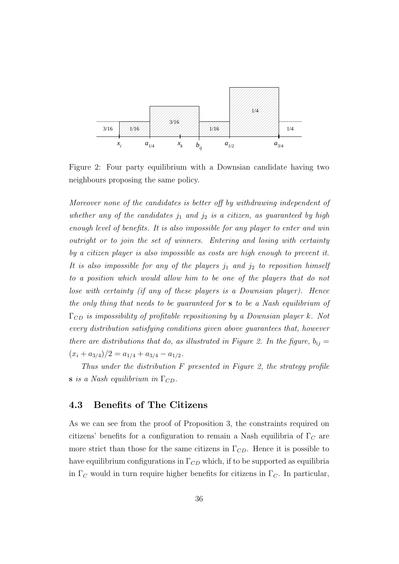

Figure 2: Four party equilibrium with a Downsian candidate having two neighbours proposing the same policy.

Moreover none of the candidates is better off by withdrawing independent of whether any of the candidates  $j_1$  and  $j_2$  is a citizen, as guaranteed by high enough level of benefits. It is also impossible for any player to enter and win outright or to join the set of winners. Entering and losing with certainty by a citizen player is also impossible as costs are high enough to prevent it. It is also impossible for any of the players  $j_1$  and  $j_2$  to reposition himself to a position which would allow him to be one of the players that do not lose with certainty (if any of these players is a Downsian player). Hence the only thing that needs to be guaranteed for s to be a Nash equilibrium of  $\Gamma_{CD}$  is impossibility of profitable repositioning by a Downsian player k. Not every distribution satisfying conditions given above guarantees that, however there are distributions that do, as illustrated in Figure 2. In the figure,  $b_{ij} =$  $(x_i + a_{3/4})/2 = a_{1/4} + a_{3/4} - a_{1/2}.$ 

Thus under the distribution F presented in Figure 2, the strategy profile s is a Nash equilibrium in  $\Gamma_{CD}$ .

#### 4.3 Benefits of The Citizens

As we can see from the proof of Proposition 3, the constraints required on citizens' benefits for a configuration to remain a Nash equilibria of  $\Gamma_C$  are more strict than those for the same citizens in  $\Gamma_{CD}$ . Hence it is possible to have equilibrium configurations in  $\Gamma_{CD}$  which, if to be supported as equilibria in  $\Gamma_C$  would in turn require higher benefits for citizens in  $\Gamma_C$ . In particular,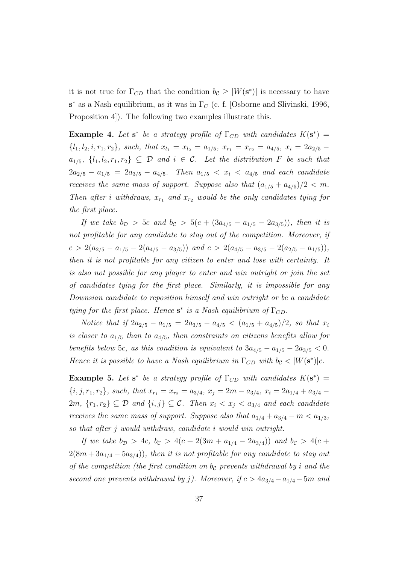it is not true for  $\Gamma_{CD}$  that the condition  $b_{\mathcal{C}} \geq |W(\mathbf{s}^*)|$  is necessary to have  $s^*$  as a Nash equilibrium, as it was in  $\Gamma_C$  (c. f. [Osborne and Slivinski, 1996, Proposition 4]). The following two examples illustrate this.

**Example 4.** Let  $s^*$  be a strategy profile of  $\Gamma_{CD}$  with candidates  $K(s^*)$  =  $\{l_1, l_2, i, r_1, r_2\}, \text{ such, that } x_{l_1} = x_{l_2} = a_{1/5}, x_{r_1} = x_{r_2} = a_{4/5}, x_i = 2a_{2/5}$  $a_{1/5}, \{l_1, l_2, r_1, r_2\} \subseteq \mathcal{D}$  and  $i \in \mathcal{C}$ . Let the distribution F be such that  $2a_{2/5} - a_{1/5} = 2a_{3/5} - a_{4/5}$ . Then  $a_{1/5} < x_i < a_{4/5}$  and each candidate receives the same mass of support. Suppose also that  $(a_{1/5} + a_{4/5})/2 < m$ . Then after i withdraws,  $x_{r_1}$  and  $x_{r_2}$  would be the only candidates tying for the first place.

If we take  $b_{\mathcal{D}} > 5c$  and  $b_{\mathcal{C}} > 5(c + (3a_{4/5} - a_{1/5} - 2a_{3/5}))$ , then it is not profitable for any candidate to stay out of the competition. Moreover, if  $c > 2(a_{2/5} - a_{1/5} - 2(a_{4/5} - a_{3/5}))$  and  $c > 2(a_{4/5} - a_{3/5} - 2(a_{2/5} - a_{1/5})),$ then it is not profitable for any citizen to enter and lose with certainty. It is also not possible for any player to enter and win outright or join the set of candidates tying for the first place. Similarly, it is impossible for any Downsian candidate to reposition himself and win outright or be a candidate tying for the first place. Hence  $s^*$  is a Nash equilibrium of  $\Gamma_{CD}$ .

Notice that if  $2a_{2/5} - a_{1/5} = 2a_{3/5} - a_{4/5} < (a_{1/5} + a_{4/5})/2$ , so that  $x_i$ is closer to  $a_{1/5}$  than to  $a_{4/5}$ , then constraints on citizens benefits allow for benefits below 5c, as this condition is equivalent to  $3a_{4/5} - a_{1/5} - 2a_{3/5} < 0$ . Hence it is possible to have a Nash equilibrium in  $\Gamma_{CD}$  with  $b_c < |W(\mathbf{s}^*)|c$ .

**Example 5.** Let  $s^*$  be a strategy profile of  $\Gamma_{CD}$  with candidates  $K(s^*)$  =  ${i, j, r_1, r_2}, such, that x_{r_1} = x_{r_2} = a_{3/4}, x_i = 2m - a_{3/4}, x_i = 2a_{1/4} + a_{3/4} - a_{3/4}$ 2m,  $\{r_1, r_2\} \subseteq \mathcal{D}$  and  $\{i, j\} \subseteq \mathcal{C}$ . Then  $x_i < x_j < a_{3/4}$  and each candidate receives the same mass of support. Suppose also that  $a_{1/4} + a_{3/4} - m < a_{1/3}$ , so that after j would withdraw, candidate i would win outright.

If we take  $b_{\mathcal{D}} > 4c$ ,  $b_{\mathcal{C}} > 4(c + 2(3m + a_{1/4} - 2a_{3/4}))$  and  $b_{\mathcal{C}} > 4(c +$  $2(8m+3a_{1/4}-5a_{3/4})$ , then it is not profitable for any candidate to stay out of the competition (the first condition on  $b<sub>C</sub>$  prevents withdrawal by i and the second one prevents withdrawal by j). Moreover, if  $c > 4a_{3/4} - a_{1/4} - 5m$  and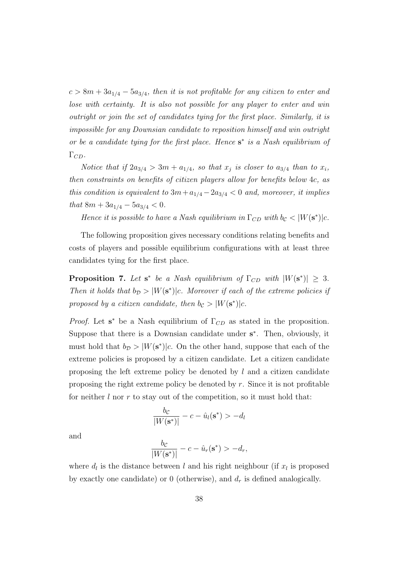$c > 8m + 3a_{1/4} - 5a_{3/4}$ , then it is not profitable for any citizen to enter and lose with certainty. It is also not possible for any player to enter and win outright or join the set of candidates tying for the first place. Similarly, it is impossible for any Downsian candidate to reposition himself and win outright or be a candidate tying for the first place. Hence  $s^*$  is a Nash equilibrium of  $\Gamma_{CD}$ .

Notice that if  $2a_{3/4} > 3m + a_{1/4}$ , so that  $x_j$  is closer to  $a_{3/4}$  than to  $x_i$ , then constraints on benefits of citizen players allow for benefits below 4c, as this condition is equivalent to  $3m + a_{1/4} - 2a_{3/4} < 0$  and, moreover, it implies that  $8m + 3a_{1/4} - 5a_{3/4} < 0$ .

Hence it is possible to have a Nash equilibrium in  $\Gamma_{CD}$  with  $b_c < |W(\mathbf{s}^*)|c$ .

The following proposition gives necessary conditions relating benefits and costs of players and possible equilibrium configurations with at least three candidates tying for the first place.

**Proposition 7.** Let  $s^*$  be a Nash equilibrium of  $\Gamma_{CD}$  with  $|W(s^*)| \geq 3$ . Then it holds that  $b_{\mathcal{D}} > |W(\mathbf{s}^*)|c$ . Moreover if each of the extreme policies if proposed by a citizen candidate, then  $b_{\mathcal{C}} > |W(\mathbf{s}^*)|c$ .

*Proof.* Let  $s^*$  be a Nash equilibrium of  $\Gamma_{CD}$  as stated in the proposition. Suppose that there is a Downsian candidate under  $s^*$ . Then, obviously, it must hold that  $b_{\mathcal{D}} > |W(\mathbf{s}^*)|c$ . On the other hand, suppose that each of the extreme policies is proposed by a citizen candidate. Let a citizen candidate proposing the left extreme policy be denoted by  $l$  and a citizen candidate proposing the right extreme policy be denoted by  $r$ . Since it is not profitable for neither  $l$  nor  $r$  to stay out of the competition, so it must hold that:

$$
\frac{b_{\mathcal{C}}}{|W(\mathbf{s}^*)|} - c - \hat{u}_l(\mathbf{s}^*) > -d_l
$$

and

$$
\frac{b_{\mathcal{C}}}{|W(\mathbf{s}^*)|} - c - \hat{u}_r(\mathbf{s}^*) > -d_r,
$$

where  $d_l$  is the distance between l and his right neighbour (if  $x_l$  is proposed by exactly one candidate) or 0 (otherwise), and  $d_r$  is defined analogically.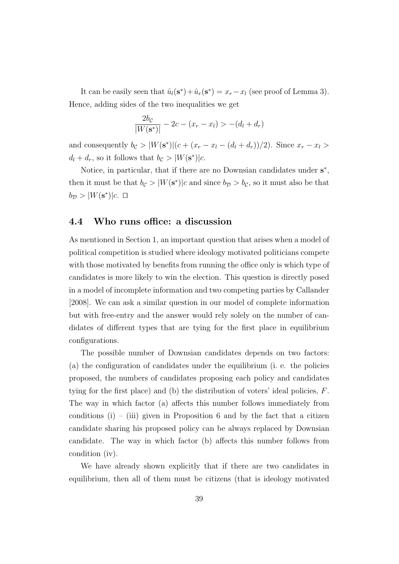It can be easily seen that  $\hat{u}_l(\mathbf{s}^*) + \hat{u}_r(\mathbf{s}^*) = x_r - x_l$  (see proof of Lemma 3). Hence, adding sides of the two inequalities we get

$$
\frac{2b_{\mathcal{C}}}{|W(\mathbf{s}^*)|} - 2c - (x_r - x_l) > -(d_l + d_r)
$$

and consequently  $b_c > |W(s^*)|(c + (x_r - x_l - (d_l + d_r))/2)$ . Since  $x_r - x_l >$  $d_l + d_r$ , so it follows that  $b_c > |W(\mathbf{s}^*)|c$ .

Notice, in particular, that if there are no Downsian candidates under  $s^*$ , then it must be that  $b_{\mathcal{C}} > |W(\mathbf{s}^*)|c$  and since  $b_{\mathcal{D}} > b_{\mathcal{C}}$ , so it must also be that  $b_{\mathcal{D}}>|W(\mathbf{s}^*)|c. \ \Box$ 

#### 4.4 Who runs office: a discussion

As mentioned in Section 1, an important question that arises when a model of political competition is studied where ideology motivated politicians compete with those motivated by benefits from running the office only is which type of candidates is more likely to win the election. This question is directly posed in a model of incomplete information and two competing parties by Callander [2008]. We can ask a similar question in our model of complete information but with free-entry and the answer would rely solely on the number of candidates of different types that are tying for the first place in equilibrium configurations.

The possible number of Downsian candidates depends on two factors: (a) the configuration of candidates under the equilibrium (i. e. the policies proposed, the numbers of candidates proposing each policy and candidates tying for the first place) and (b) the distribution of voters' ideal policies,  $F$ . The way in which factor (a) affects this number follows immediately from conditions (i) – (iii) given in Proposition 6 and by the fact that a citizen candidate sharing his proposed policy can be always replaced by Downsian candidate. The way in which factor (b) affects this number follows from condition (iv).

We have already shown explicitly that if there are two candidates in equilibrium, then all of them must be citizens (that is ideology motivated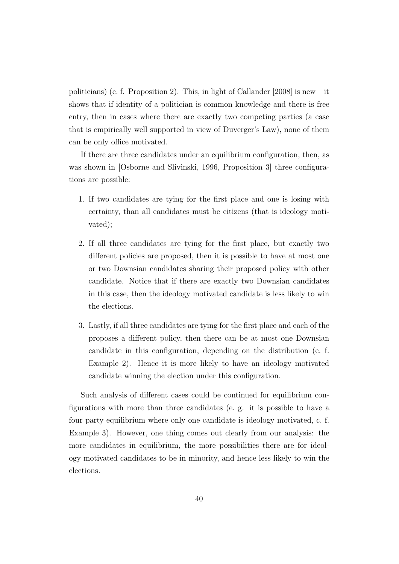politicians) (c. f. Proposition 2). This, in light of Callander [2008] is new – it shows that if identity of a politician is common knowledge and there is free entry, then in cases where there are exactly two competing parties (a case that is empirically well supported in view of Duverger's Law), none of them can be only office motivated.

If there are three candidates under an equilibrium configuration, then, as was shown in [Osborne and Slivinski, 1996, Proposition 3] three configurations are possible:

- 1. If two candidates are tying for the first place and one is losing with certainty, than all candidates must be citizens (that is ideology motivated);
- 2. If all three candidates are tying for the first place, but exactly two different policies are proposed, then it is possible to have at most one or two Downsian candidates sharing their proposed policy with other candidate. Notice that if there are exactly two Downsian candidates in this case, then the ideology motivated candidate is less likely to win the elections.
- 3. Lastly, if all three candidates are tying for the first place and each of the proposes a different policy, then there can be at most one Downsian candidate in this configuration, depending on the distribution (c. f. Example 2). Hence it is more likely to have an ideology motivated candidate winning the election under this configuration.

Such analysis of different cases could be continued for equilibrium configurations with more than three candidates (e. g. it is possible to have a four party equilibrium where only one candidate is ideology motivated, c. f. Example 3). However, one thing comes out clearly from our analysis: the more candidates in equilibrium, the more possibilities there are for ideology motivated candidates to be in minority, and hence less likely to win the elections.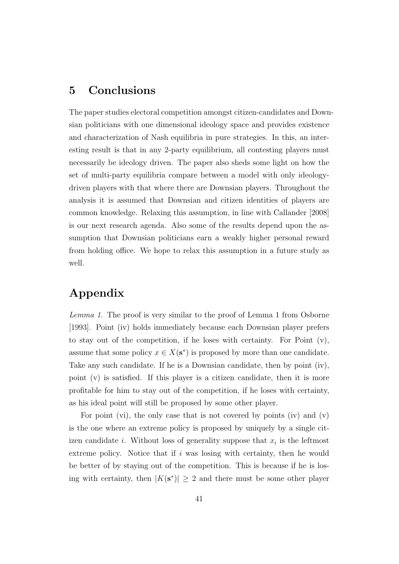### 5 Conclusions

The paper studies electoral competition amongst citizen-candidates and Downsian politicians with one dimensional ideology space and provides existence and characterization of Nash equilibria in pure strategies. In this, an interesting result is that in any 2-party equilibrium, all contesting players must necessarily be ideology driven. The paper also sheds some light on how the set of multi-party equilibria compare between a model with only ideologydriven players with that where there are Downsian players. Throughout the analysis it is assumed that Downsian and citizen identities of players are common knowledge. Relaxing this assumption, in line with Callander [2008] is our next research agenda. Also some of the results depend upon the assumption that Downsian politicians earn a weakly higher personal reward from holding office. We hope to relax this assumption in a future study as well.

### Appendix

Lemma 1. The proof is very similar to the proof of Lemma 1 from Osborne [1993]. Point (iv) holds immediately because each Downsian player prefers to stay out of the competition, if he loses with certainty. For Point  $(v)$ , assume that some policy  $x \in X(\mathbf{s}^*)$  is proposed by more than one candidate. Take any such candidate. If he is a Downsian candidate, then by point (iv), point (v) is satisfied. If this player is a citizen candidate, then it is more profitable for him to stay out of the competition, if he loses with certainty, as his ideal point will still be proposed by some other player.

For point (vi), the only case that is not covered by points (iv) and (v) is the one where an extreme policy is proposed by uniquely by a single citizen candidate *i*. Without loss of generality suppose that  $x_i$  is the leftmost extreme policy. Notice that if  $i$  was losing with certainty, then he would be better of by staying out of the competition. This is because if he is losing with certainty, then  $|K(s^*)| \geq 2$  and there must be some other player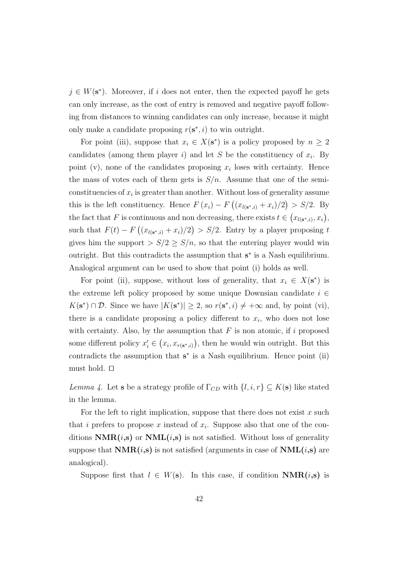$j \in W(\mathbf{s}^*)$ . Moreover, if i does not enter, then the expected payoff he gets can only increase, as the cost of entry is removed and negative payoff following from distances to winning candidates can only increase, because it might only make a candidate proposing  $r(s^*, i)$  to win outright.

For point (iii), suppose that  $x_i \in X(\mathbf{s}^*)$  is a policy proposed by  $n \geq 2$ candidates (among them player *i*) and let S be the constituency of  $x_i$ . By point (v), none of the candidates proposing  $x_i$  loses with certainty. Hence the mass of votes each of them gets is  $S/n$ . Assume that one of the semiconstituencies of  $x_i$  is greater than another. Without loss of generality assume this is the left constituency. Hence  $F(x_i) - F((x_{l(s^*,i)} + x_i)/2) > S/2$ . By the fact that F is continuous and non decreasing, there exists  $t \in (x_{l(s^*,i)}, x_i)$ , such that  $F(t) - F((x_{l(s^*,i)} + x_i)/2) > S/2$ . Entry by a player proposing t gives him the support  $> S/2 \geq S/n$ , so that the entering player would win outright. But this contradicts the assumption that  $s^*$  is a Nash equilibrium. Analogical argument can be used to show that point (i) holds as well.

For point (ii), suppose, without loss of generality, that  $x_i \in X(\mathbf{s}^*)$  is the extreme left policy proposed by some unique Downsian candidate  $i \in$  $K(\mathbf{s}^*) \cap \mathcal{D}$ . Since we have  $|K(\mathbf{s}^*)| \geq 2$ , so  $r(\mathbf{s}^*, i) \neq +\infty$  and, by point (vi), there is a candidate proposing a policy different to  $x_i$ , who does not lose with certainty. Also, by the assumption that  $F$  is non atomic, if i proposed some different policy  $x_i' \in (x_i, x_{r(s^*, i)})$ , then he would win outright. But this contradicts the assumption that  $s^*$  is a Nash equilibrium. Hence point (ii) must hold.  $\Box$ 

Lemma 4. Let s be a strategy profile of  $\Gamma_{CD}$  with  $\{l, i, r\} \subseteq K(\mathbf{s})$  like stated in the lemma.

For the left to right implication, suppose that there does not exist  $x$  such that i prefers to propose x instead of  $x_i$ . Suppose also that one of the conditions  $\text{NMR}(i,\text{s})$  or  $\text{NML}(i,\text{s})$  is not satisfied. Without loss of generality suppose that  $NMR(i,s)$  is not satisfied (arguments in case of  $NML(i,s)$  are analogical).

Suppose first that  $l \in W(\mathbf{s})$ . In this case, if condition  $\mathbf{NMR}(i,\mathbf{s})$  is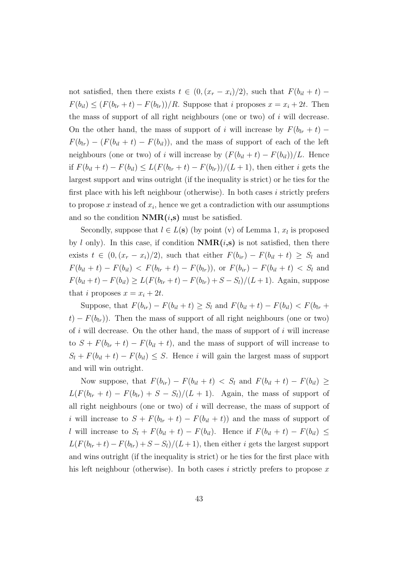not satisfied, then there exists  $t \in (0, (x_r - x_i)/2)$ , such that  $F(b_{il} + t)$  $F(b_{il}) \leq (F(b_{lr} + t) - F(b_{lr}))/R$ . Suppose that i proposes  $x = x_i + 2t$ . Then the mass of support of all right neighbours (one or two) of  $i$  will decrease. On the other hand, the mass of support of i will increase by  $F(b_{lr} + t)$  –  $F(b_{ir}) - (F(b_{il} + t) - F(b_{il}))$ , and the mass of support of each of the left neighbours (one or two) of i will increase by  $(F(b_{il} + t) - F(b_{il}))/L$ . Hence if  $F(b_{il} + t) - F(b_{il}) \leq L(F(b_{lr} + t) - F(b_{lr}))/L + 1)$ , then either *i* gets the largest support and wins outright (if the inequality is strict) or he ties for the first place with his left neighbour (otherwise). In both cases  $i$  strictly prefers to propose x instead of  $x_i$ , hence we get a contradiction with our assumptions and so the condition  $NMR(i,s)$  must be satisfied.

Secondly, suppose that  $l \in L(\mathbf{s})$  (by point (v) of Lemma 1,  $x_l$  is proposed by l only). In this case, if condition  $NMR(i,s)$  is not satisfied, then there exists  $t \in (0,(x_r-x_i)/2)$ , such that either  $F(b_{ir}) - F(b_{il} + t) \geq S_l$  and  $F(b_{il} + t) - F(b_{il}) < F(b_{lr} + t) - F(b_{lr}))$ , or  $F(b_{ir}) - F(b_{il} + t) < S_l$  and  $F(b_{il} + t) - F(b_{il}) \ge L(F(b_{lr} + t) - F(b_{lr}) + S - S_l)/(L + 1)$ . Again, suppose that i proposes  $x = x_i + 2t$ .

Suppose, that  $F(b_{ir}) - F(b_{il} + t) \geq S_l$  and  $F(b_{il} + t) - F(b_{il}) < F(b_{ir} + t)$  $t$ ) –  $F(b_{lr})$ ). Then the mass of support of all right neighbours (one or two) of  $i$  will decrease. On the other hand, the mass of support of  $i$  will increase to  $S + F(b_{lr} + t) - F(b_{il} + t)$ , and the mass of support of will increase to  $S_l + F(b_{il} + t) - F(b_{il}) \leq S$ . Hence i will gain the largest mass of support and will win outright.

Now suppose, that  $F(b_{ir}) - F(b_{il} + t) < S_l$  and  $F(b_{il} + t) - F(b_{il}) \ge$  $L(F(b_{lr} + t) - F(b_{lr}) + S - S_l)/(L + 1)$ . Again, the mass of support of all right neighbours (one or two) of  $i$  will decrease, the mass of support of i will increase to  $S + F(b_{ir} + t) - F(b_{il} + t)$  and the mass of support of l will increase to  $S_l + F(b_{il} + t) - F(b_{il})$ . Hence if  $F(b_{il} + t) - F(b_{il}) \le$  $L(F(b_{lr} + t) - F(b_{lr}) + S - S_l)/(L+1)$ , then either i gets the largest support and wins outright (if the inequality is strict) or he ties for the first place with his left neighbour (otherwise). In both cases i strictly prefers to propose x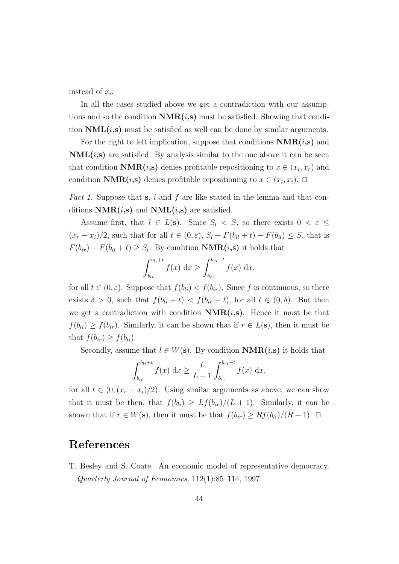instead of  $x_i$ .

In all the cases studied above we get a contradiction with our assumptions and so the condition  $NMR(i,s)$  must be satisfied. Showing that condition  $\text{NML}(i,\text{s})$  must be satisfied as well can be done by similar arguments.

For the right to left implication, suppose that conditions  $NMR(i,s)$  and  $\textbf{NML}(i,\textbf{s})$  are satisfied. By analysis similar to the one above it can be seen that condition  $\text{NMR}(i,\text{s})$  denies profitable repositioning to  $x \in (x_i, x_r)$  and condition  $\text{NMR}(i,\mathbf{s})$  denies profitable repositioning to  $x \in (x_l, x_i)$ .  $\Box$ 

Fact 1. Suppose that s, i and f are like stated in the lemma and that conditions  $NMR(i,s)$  and  $NML(i,s)$  are satisfied.

Assume first, that  $l \in L(\mathbf{s})$ . Since  $S_l \leq S$ , so there exists  $0 \leq \varepsilon \leq$  $(x_r - x_i)/2$ , such that for all  $t \in (0, \varepsilon)$ ,  $S_l + F(b_{il} + t) - F(b_{il}) \leq S$ , that is  $F(b_{ir}) - F(b_{il} + t) \ge S_l$ . By condition  $NMR(i,s)$  it holds that

$$
\int_{b_{li}}^{b_{li}+t} f(x) dx \ge \int_{b_{ri}}^{b_{ri}+t} f(x) dx,
$$

for all  $t \in (0, \varepsilon)$ . Suppose that  $f(b_{li}) < f(b_{ir})$ . Since f is continuous, so there exists  $\delta > 0$ , such that  $f(b_{li} + t) < f(b_{ir} + t)$ , for all  $t \in (0, \delta)$ . But then we get a contradiction with condition  $NMR(i,s)$ . Hence it must be that  $f(b_{li}) \geq f(b_{ir})$ . Similarly, it can be shown that if  $r \in L(\mathbf{s})$ , then it must be that  $f(b_{ir}) \geq f(b_{li}).$ 

Secondly, assume that  $l \in W(\mathbf{s})$ . By condition  $\mathbf{NMR}(i,\mathbf{s})$  it holds that

$$
\int_{b_{li}}^{b_{li}+t} f(x) dx \ge \frac{L}{L+1} \int_{b_{ri}}^{b_{ri}+t} f(x) dx,
$$

for all  $t \in (0, (x_r - x_i)/2)$ . Using similar arguments as above, we can show that it must be then, that  $f(b_{li}) \geq Lf(b_{ir})/(L+1)$ . Similarly, it can be shown that if  $r \in W(\mathbf{s})$ , then it must be that  $f(b_{ir}) \geq Rf(b_{li})/(R+1)$ .  $\Box$ 

### References

T. Besley and S. Coate. An economic model of representative democracy. Quarterly Journal of Economics, 112(1):85–114, 1997.